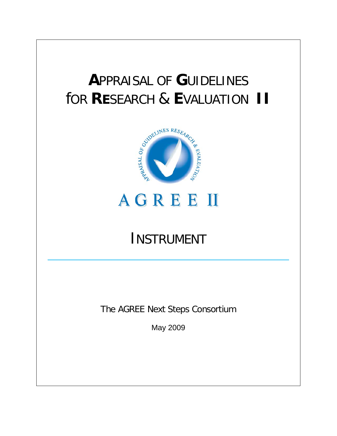# **A**PPRAISAL OF **G**UIDELINES



# **AGREE II**

# INSTRUMENT

**\_\_\_\_\_\_\_\_\_\_\_\_\_\_\_\_\_\_\_\_\_\_\_\_\_\_\_\_\_\_\_\_\_\_\_\_\_\_\_\_\_\_\_\_\_\_\_\_\_\_\_\_\_\_\_\_\_\_\_\_\_\_\_\_\_\_\_\_\_\_\_\_\_\_\_\_\_\_\_\_\_\_\_**

The AGREE Next Steps Consortium

May 2009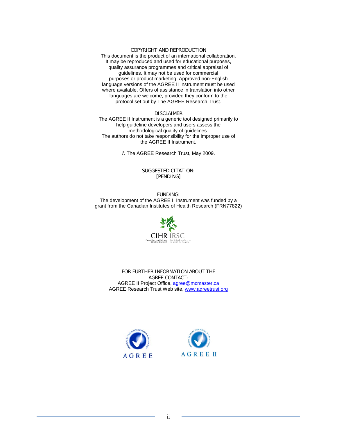#### COPYRIGHT AND REPRODUCTION

This document is the product of an international collaboration. It may be reproduced and used for educational purposes, quality assurance programmes and critical appraisal of guidelines. It may not be used for commercial purposes or product marketing. Approved non-English language versions of the AGREE II Instrument must be used where available. Offers of assistance in translation into other languages are welcome, provided they conform to the protocol set out by The AGREE Research Trust.

DISCLAIMER

The AGREE II Instrument is a generic tool designed primarily to help guideline developers and users assess the methodological quality of guidelines. The authors do not take responsibility for the improper use of the AGREE II Instrument.

© The AGREE Research Trust, May 2009.

#### SUGGESTED CITATION: [PENDING]

FUNDING: The development of the AGREE II Instrument was funded by a grant from the Canadian Institutes of Health Research (FRN77822)



FOR FURTHER INFORMATION ABOUT THE AGREE CONTACT: AGREE II Project Office[, agree@mcmaster.ca](mailto:agree@mcmaster.ca) AGREE Research Trust Web site, [www.agreetrust.org](http://www.agreetrust.org/)



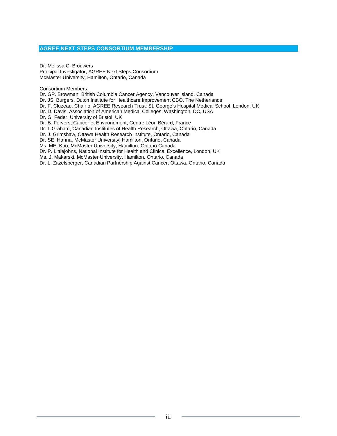#### **AGREE NEXT STEPS CONSORTIUM MEMBERSHIP**

Dr. Melissa C. Brouwers Principal Investigator, AGREE Next Steps Consortium McMaster University, Hamilton, Ontario, Canada

Consortium Members:

Dr. GP. Browman, British Columbia Cancer Agency, Vancouver Island, Canada

Dr. JS. Burgers, Dutch Institute for Healthcare Improvement CBO, The Netherlands

Dr. F. Cluzeau, Chair of AGREE Research Trust; St. George's Hospital Medical School, London, UK

Dr. D. Davis, Association of American Medical Colleges, Washington, DC, USA

Dr. G. Feder, University of Bristol, UK

Dr. B. Fervers, Cancer et Environement, Centre Léon Bérard, France

Dr. I. Graham, Canadian Institutes of Health Research, Ottawa, Ontario, Canada

Dr. J. Grimshaw, Ottawa Health Research Institute, Ontario, Canada

Dr. SE. Hanna, McMaster University, Hamilton, Ontario, Canada

Ms. ME. Kho, McMaster University, Hamilton, Ontario Canada

Dr. P. Littlejohns, National Institute for Health and Clinical Excellence, London, UK

Ms. J. Makarski, McMaster University, Hamilton, Ontario, Canada

Dr. L. Zitzelsberger, Canadian Partnership Against Cancer, Ottawa, Ontario, Canada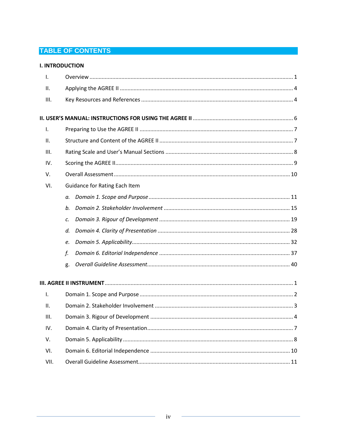# **TABLE OF CONTENTS**

| <b>I. INTRODUCTION</b> |                               |  |  |  |  |  |  |
|------------------------|-------------------------------|--|--|--|--|--|--|
| I.                     |                               |  |  |  |  |  |  |
| ΙΙ.                    |                               |  |  |  |  |  |  |
| Ш.                     |                               |  |  |  |  |  |  |
|                        |                               |  |  |  |  |  |  |
| Ι.                     |                               |  |  |  |  |  |  |
| II.                    |                               |  |  |  |  |  |  |
| Ш.                     |                               |  |  |  |  |  |  |
| IV.                    |                               |  |  |  |  |  |  |
| V.                     |                               |  |  |  |  |  |  |
| VI.                    | Guidance for Rating Each Item |  |  |  |  |  |  |
|                        | а.                            |  |  |  |  |  |  |
|                        | b.                            |  |  |  |  |  |  |
|                        | c.                            |  |  |  |  |  |  |
|                        | d.                            |  |  |  |  |  |  |
|                        | e.                            |  |  |  |  |  |  |
|                        | f.                            |  |  |  |  |  |  |
|                        | g.                            |  |  |  |  |  |  |
|                        |                               |  |  |  |  |  |  |
| $\mathbf{I}$ .         |                               |  |  |  |  |  |  |
| ΙΙ.                    |                               |  |  |  |  |  |  |
| III.                   |                               |  |  |  |  |  |  |
| IV.                    |                               |  |  |  |  |  |  |
| V.                     |                               |  |  |  |  |  |  |
| VI.                    |                               |  |  |  |  |  |  |
| VII.                   |                               |  |  |  |  |  |  |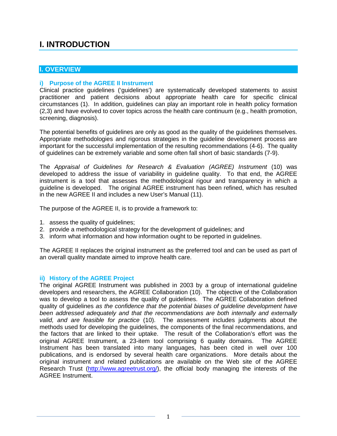# **I. INTRODUCTION**

#### **I. OVERVIEW**

#### **i) Purpose of the AGREE II Instrument**

Clinical practice guidelines ('guidelines') are systematically developed statements to assist practitioner and patient decisions about appropriate health care for specific clinical circumstances (1). In addition, guidelines can play an important role in health policy formation (2,3) and have evolved to cover topics across the health care continuum (e.g., health promotion, screening, diagnosis).

The potential benefits of guidelines are only as good as the quality of the guidelines themselves. Appropriate methodologies and rigorous strategies in the guideline development process are important for the successful implementation of the resulting recommendations (4-6). The quality of guidelines can be extremely variable and some often fall short of basic standards (7-9).

The *Appraisal of Guidelines for Research & Evaluation (AGREE) Instrument* (10) was developed to address the issue of variability in guideline quality. To that end, the AGREE instrument is a tool that assesses the methodological rigour and transparency in which a guideline is developed. The original AGREE instrument has been refined, which has resulted in the new AGREE II and includes a new User's Manual (11).

The purpose of the AGREE II, is to provide a framework to:

- 1. assess the quality of guidelines;
- 2. provide a methodological strategy for the development of guidelines; and
- 3. inform what information and how information ought to be reported in guidelines.

The AGREE II replaces the original instrument as the preferred tool and can be used as part of an overall quality mandate aimed to improve health care.

#### **ii) History of the AGREE Project**

The original AGREE Instrument was published in 2003 by a group of international guideline developers and researchers, the AGREE Collaboration (10). The objective of the Collaboration was to develop a tool to assess the quality of guidelines. The AGREE Collaboration defined quality of guidelines *as the confidence that the potential biases of guideline development have been addressed adequately and that the recommendations are both internally and externally valid, and are feasible for practice* (10). The assessment includes judgments about the methods used for developing the guidelines, the components of the final recommendations, and the factors that are linked to their uptake. The result of the Collaboration's effort was the original AGREE Instrument, a 23-item tool comprising 6 quality domains. The AGREE Instrument has been translated into many languages, has been cited in well over 100 publications, and is endorsed by several health care organizations. More details about the original instrument and related publications are available on the Web site of the AGREE Research Trust [\(http://www.agreetrust.org/\)](http://www.agreetrust.org/), the official body managing the interests of the AGREE Instrument.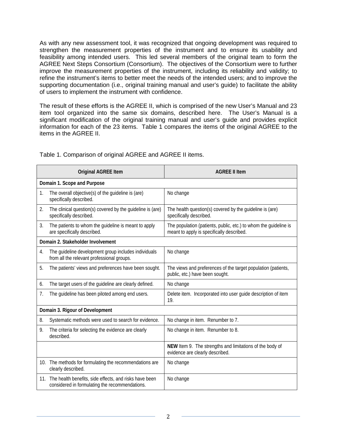As with any new assessment tool, it was recognized that ongoing development was required to strengthen the measurement properties of the instrument and to ensure its usability and feasibility among intended users. This led several members of the original team to form the AGREE Next Steps Consortium (Consortium). The objectives of the Consortium were to further improve the measurement properties of the instrument, including its reliability and validity; to refine the instrument's items to better meet the needs of the intended users; and to improve the supporting documentation (i.e., original training manual and user's guide) to facilitate the ability of users to implement the instrument with confidence.

The result of these efforts is the AGREE II, which is comprised of the new User's Manual and 23 item tool organized into the same six domains, described here. The User's Manual is a significant modification of the original training manual and user's guide and provides explicit information for each of the 23 items. Table 1 compares the items of the original AGREE to the items in the AGREE II.

|     | <b>Original AGREE Item</b>                                                                               | <b>AGREE II Item</b>                                                                                          |
|-----|----------------------------------------------------------------------------------------------------------|---------------------------------------------------------------------------------------------------------------|
|     | Domain 1. Scope and Purpose                                                                              |                                                                                                               |
| 1.  | The overall objective(s) of the guideline is (are)<br>specifically described.                            | No change                                                                                                     |
| 2.  | The clinical question(s) covered by the guideline is (are)<br>specifically described.                    | The health question(s) covered by the quideline is (are)<br>specifically described.                           |
| 3.  | The patients to whom the guideline is meant to apply<br>are specifically described.                      | The population (patients, public, etc.) to whom the guideline is<br>meant to apply is specifically described. |
|     | Domain 2. Stakeholder Involvement                                                                        |                                                                                                               |
| 4.  | The guideline development group includes individuals<br>from all the relevant professional groups.       | No change                                                                                                     |
| 5.  | The patients' views and preferences have been sought.                                                    | The views and preferences of the target population (patients,<br>public, etc.) have been sought.              |
| 6.  | The target users of the guideline are clearly defined.                                                   | No change                                                                                                     |
| 7.  | The guideline has been piloted among end users.                                                          | Delete item. Incorporated into user guide description of item<br>19.                                          |
|     | Domain 3. Rigour of Development                                                                          |                                                                                                               |
| 8.  | Systematic methods were used to search for evidence.                                                     | No change in item. Renumber to 7.                                                                             |
| 9.  | The criteria for selecting the evidence are clearly<br>described.                                        | No change in item. Renumber to 8.                                                                             |
|     |                                                                                                          | NEW Item 9. The strengths and limitations of the body of<br>evidence are clearly described.                   |
|     | 10. The methods for formulating the recommendations are<br>clearly described.                            | No change                                                                                                     |
| 11. | The health benefits, side effects, and risks have been<br>considered in formulating the recommendations. | No change                                                                                                     |

Table 1. Comparison of original AGREE and AGREE II items.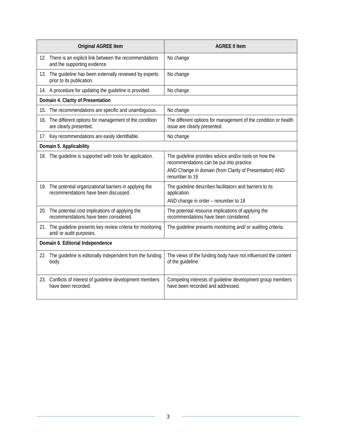|     | <b>Original AGREE Item</b>                                                                        | <b>AGREE II Item</b>                                                                               |
|-----|---------------------------------------------------------------------------------------------------|----------------------------------------------------------------------------------------------------|
|     | 12. There is an explicit link between the recommendations<br>and the supporting evidence.         | No change                                                                                          |
|     | 13. The guideline has been externally reviewed by experts<br>prior to its publication.            | No change                                                                                          |
|     | 14. A procedure for updating the guideline is provided.                                           | No change                                                                                          |
|     | Domain 4. Clarity of Presentation                                                                 |                                                                                                    |
|     | 15. The recommendations are specific and unambiguous.                                             | No change                                                                                          |
|     | 16. The different options for management of the condition<br>are clearly presented.               | The different options for management of the condition or health<br>issue are clearly presented.    |
|     | 17. Key recommendations are easily identifiable.                                                  | No change                                                                                          |
|     | Domain 5. Applicability                                                                           |                                                                                                    |
|     | 18. The guideline is supported with tools for application.                                        | The guideline provides advice and/or tools on how the<br>recommendations can be put into practice. |
|     |                                                                                                   | AND Change in domain (from Clarity of Presentation) AND<br>renumber to 19                          |
|     | 19. The potential organizational barriers in applying the<br>recommendations have been discussed. | The guideline describes facilitators and barriers to its<br>application.                           |
|     |                                                                                                   | AND change in order - renumber to 18                                                               |
| 20. | The potential cost implications of applying the<br>recommendations have been considered.          | The potential resource implications of applying the<br>recommendations have been considered.       |
|     | 21. The guideline presents key review criteria for monitoring<br>and/ or audit purposes.          | The guideline presents monitoring and/ or auditing criteria.                                       |
|     | Domain 6. Editorial Independence                                                                  |                                                                                                    |
|     | 22. The guideline is editorially independent from the funding<br>body.                            | The views of the funding body have not influenced the content<br>of the guideline.                 |
| 23. | Conflicts of interest of guideline development members<br>have been recorded.                     | Competing interests of guideline development group members<br>have been recorded and addressed.    |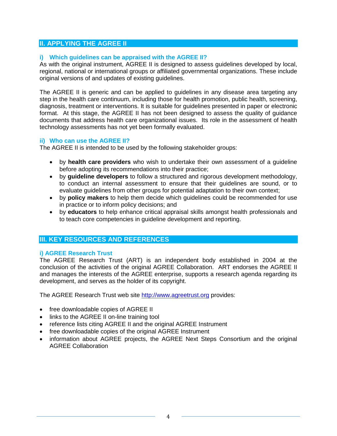### **II. APPLYING THE AGREE II**

#### **i) Which guidelines can be appraised with the AGREE II?**

As with the original instrument, AGREE II is designed to assess guidelines developed by local, regional, national or international groups or affiliated governmental organizations. These include original versions of and updates of existing guidelines.

The AGREE II is generic and can be applied to guidelines in any disease area targeting any step in the health care continuum, including those for health promotion, public health, screening, diagnosis, treatment or interventions. It is suitable for guidelines presented in paper or electronic format. At this stage, the AGREE II has not been designed to assess the quality of guidance documents that address health care organizational issues. Its role in the assessment of health technology assessments has not yet been formally evaluated.

#### **ii) Who can use the AGREE II?**

The AGREE II is intended to be used by the following stakeholder groups:

- by **health care providers** who wish to undertake their own assessment of a guideline before adopting its recommendations into their practice;
- by **guideline developers** to follow a structured and rigorous development methodology, to conduct an internal assessment to ensure that their guidelines are sound, or to evaluate guidelines from other groups for potential adaptation to their own context;
- by **policy makers** to help them decide which guidelines could be recommended for use in practice or to inform policy decisions; and
- by **educators** to help enhance critical appraisal skills amongst health professionals and to teach core competencies in guideline development and reporting.

### **III. KEY RESOURCES AND REFERENCES**

#### **i) AGREE Research Trust**

The AGREE Research Trust (ART) is an independent body established in 2004 at the conclusion of the activities of the original AGREE Collaboration. ART endorses the AGREE II and manages the interests of the AGREE enterprise, supports a research agenda regarding its development, and serves as the holder of its copyright.

The AGREE Research Trust web site [http://www.agreetrust.org](http://www.agreetrust.org/) provides:

- free downloadable copies of AGREE II
- links to the AGREE II on-line training tool
- reference lists citing AGREE II and the original AGREE Instrument
- free downloadable copies of the original AGREE Instrument
- information about AGREE projects, the AGREE Next Steps Consortium and the original AGREE Collaboration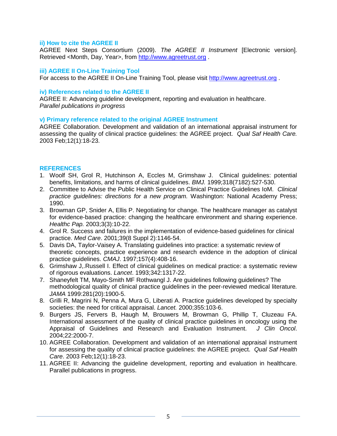#### **ii) How to cite the AGREE II**

AGREE Next Steps Consortium (2009). *The AGREE II Instrument* [Electronic version]. Retrieved <Month, Day, Year>, from [http://www.agreetrust.org](http://www.agreetrust.org/) .

#### **iii) AGREE II On-Line Training Tool**

For access to the AGREE II On-Line Training Tool, please visit [http://www.agreetrust.org](http://www.agreetrust.org/) .

#### **iv) References related to the AGREE II**

AGREE II: Advancing guideline development, reporting and evaluation in healthcare. *Parallel publications in progress* 

#### **v) Primary reference related to the original AGREE Instrument**

AGREE Collaboration. Development and validation of an international appraisal instrument for assessing the quality of clinical practice guidelines: the AGREE project. *Qual Saf Health Care.* 2003 Feb;12(1):18-23.

#### **REFERENCES**

- 1. Woolf SH, Grol R, Hutchinson A, Eccles M, Grimshaw J. Clinical guidelines: potential benefits, limitations, and harms of clinical guidelines. *BMJ.* 1999;318(7182):527-530.
- 2. Committee to Advise the Public Health Service on Clinical Practice Guidelines IoM. *Clinical practice guidelines: directions for a new program.* Washington: National Academy Press; 1990.
- 3. Browman GP, Snider A, Ellis P. Negotiating for change. The healthcare manager as catalyst for evidence-based practice: changing the healthcare environment and sharing experience. *Healthc Pap.* 2003;3(3):10-22.
- 4. Grol R. Success and failures in the implementation of evidence-based guidelines for clinical practice. *Med Care*. 2001;39(8 Suppl 2):1146-54.
- 5. Davis DA, Taylor-Vaisey A. Translating guidelines into practice: a systematic review of theoretic concepts, practice experience and research evidence in the adoption of clinical practice guidelines. *CMAJ*. 1997;157(4):408-16.
- 6. Grimshaw J,.Russell I. Effect of clinical guidelines on medical practice: a systematic review of rigorous evaluations. *Lancet*. 1993;342:1317-22.
- 7. Shaneyfelt TM, Mayo-Smith MF Rothwangl J. Are guidelines following guidelines? The methodological quality of clinical practice guidelines in the peer-reviewed medical literature*. JAMA* 1999:281(20):1900-5.
- 8. Grilli R, Magrini N, Penna A, Mura G, Liberati A. Practice guidelines developed by specialty societies: the need for critical appraisal. *Lancet.* 2000;355:103-6.
- 9. Burgers JS, Fervers B, Haugh M, Brouwers M, Browman G, Phillip T, Cluzeau FA. International assessment of the quality of clinical practice guidelines in oncology using the Appraisal of Guidelines and Research and Evaluation Instrument. *J Clin Oncol*. 2004;22:2000-7.
- 10. AGREE Collaboration. Development and validation of an international appraisal instrument for assessing the quality of clinical practice guidelines: the AGREE project. *Qual Saf Health Care*. 2003 Feb;12(1):18-23.
- 11. AGREE II: Advancing the guideline development, reporting and evaluation in healthcare. Parallel publications in progress.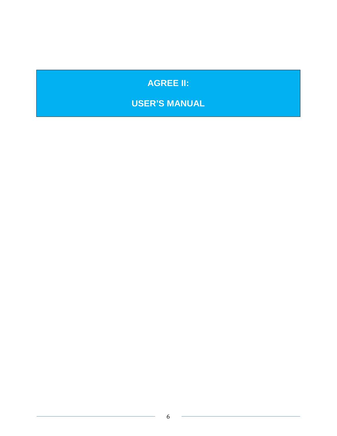# **AGREE II:**

# **USER'S MANUAL**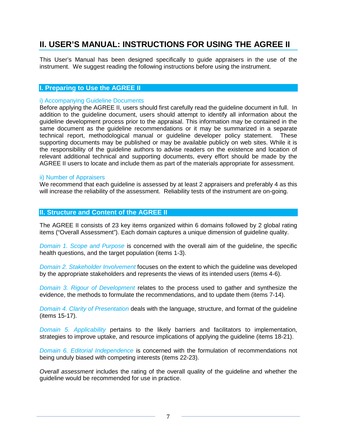# **II. USER'S MANUAL: INSTRUCTIONS FOR USING THE AGREE II**

This User's Manual has been designed specifically to guide appraisers in the use of the instrument. We suggest reading the following instructions before using the instrument.

#### **I. Preparing to Use the AGREE II**

#### i) Accompanying Guideline Documents

Before applying the AGREE II, users should first carefully read the guideline document in full. In addition to the guideline document, users should attempt to identify all information about the guideline development process prior to the appraisal. This information may be contained in the same document as the guideline recommendations or it may be summarized in a separate technical report, methodological manual or guideline developer policy statement. These supporting documents may be published or may be available publicly on web sites. While it is the responsibility of the guideline authors to advise readers on the existence and location of relevant additional technical and supporting documents, every effort should be made by the AGREE II users to locate and include them as part of the materials appropriate for assessment.

#### ii) Number of Appraisers

We recommend that each quideline is assessed by at least 2 appraisers and preferably 4 as this will increase the reliability of the assessment. Reliability tests of the instrument are on-going.

#### **II. Structure and Content of the AGREE II**

The AGREE II consists of 23 key items organized within 6 domains followed by 2 global rating items ("Overall Assessment"). Each domain captures a unique dimension of guideline quality.

*Domain 1. Scope and Purpose* is concerned with the overall aim of the guideline, the specific health questions, and the target population (items 1-3).

*Domain 2. Stakeholder Involvement* focuses on the extent to which the guideline was developed by the appropriate stakeholders and represents the views of its intended users (items 4-6).

*Domain 3. Rigour of Development* relates to the process used to gather and synthesize the evidence, the methods to formulate the recommendations, and to update them (items 7-14).

*Domain 4. Clarity of Presentation* deals with the language, structure, and format of the guideline (items 15-17).

*Domain 5. Applicability* pertains to the likely barriers and facilitators to implementation, strategies to improve uptake, and resource implications of applying the guideline (items 18-21).

*Domain 6. Editorial Independence* is concerned with the formulation of recommendations not being unduly biased with competing interests (items 22-23).

*Overall assessment* includes the rating of the overall quality of the guideline and whether the guideline would be recommended for use in practice.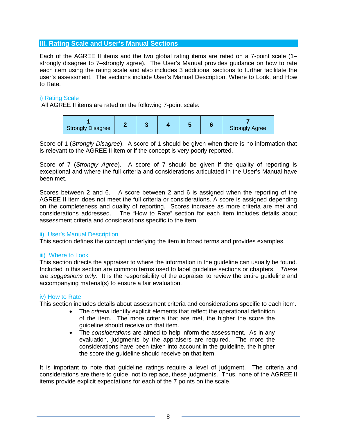#### **III. Rating Scale and User's Manual Sections**

Each of the AGREE II items and the two global rating items are rated on a 7-point scale (1– strongly disagree to 7–strongly agree). The User's Manual provides guidance on how to rate each item using the rating scale and also includes 3 additional sections to further facilitate the user's assessment. The sections include User's Manual Description, Where to Look, and How to Rate.

#### i) Rating Scale

All AGREE II items are rated on the following 7-point scale:

| <b>Strongly Disagree</b> |  |  |  |  | <b>Strongly Agree</b> |
|--------------------------|--|--|--|--|-----------------------|
|--------------------------|--|--|--|--|-----------------------|

Score of 1 (*Strongly Disagree*). A score of 1 should be given when there is no information that is relevant to the AGREE II item or if the concept is very poorly reported.

Score of 7 (*Strongly Agree*). A score of 7 should be given if the quality of reporting is exceptional and where the full criteria and considerations articulated in the User's Manual have been met.

Scores between 2 and 6. A score between 2 and 6 is assigned when the reporting of the AGREE II item does not meet the full criteria or considerations. A score is assigned depending on the completeness and quality of reporting. Scores increase as more criteria are met and considerations addressed. The "How to Rate" section for each item includes details about assessment criteria and considerations specific to the item.

#### ii) User's Manual Description

This section defines the concept underlying the item in broad terms and provides examples.

#### iii) Where to Look

This section directs the appraiser to where the information in the guideline can usually be found. Included in this section are common terms used to label guideline sections or chapters. *These are suggestions only*. It is the responsibility of the appraiser to review the entire guideline and accompanying material(s) to ensure a fair evaluation.

#### iv) How to Rate

This section includes details about assessment criteria and considerations specific to each item.

- The *criteria* identify explicit elements that reflect the operational definition of the item. The more criteria that are met, the higher the score the guideline should receive on that item.
- The *considerations* are aimed to help inform the assessment. As in any evaluation, judgments by the appraisers are required. The more the considerations have been taken into account in the guideline, the higher the score the guideline should receive on that item.

It is important to note that guideline ratings require a level of judgment. The criteria and considerations are there to guide, not to replace, these judgments. Thus, none of the AGREE II items provide explicit expectations for each of the 7 points on the scale.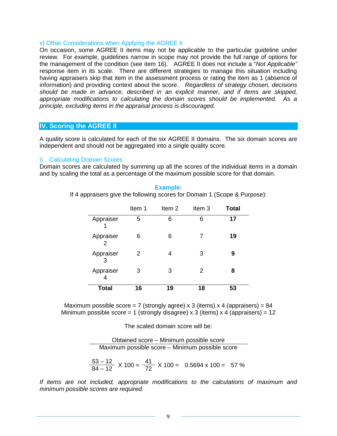#### v) Other Considerations when Applying the AGREE II

On occasion, some AGREE II items may not be applicable to the particular guideline under review. For example, guidelines narrow in scope may not provide the full range of options for the management of the condition (see item 16). AGREE II does not include a "*Not Applicable"* response item in its scale. There are different strategies to manage this situation including having appraisers skip that item in the assessment process or rating the item as 1 (absence of information) and providing context about the score. *Regardless of strategy chosen, decisions should be made in advance, described in an explicit manner, and if items are skipped, appropriate modifications to calculating the domain scores should be implemented. As a principle, excluding items in the appraisal process is discouraged.*

#### **IV. Scoring the AGREE II**

A quality score is calculated for each of the six AGREE II domains. The six domain scores are independent and should not be aggregated into a single quality score.

#### i) Calculating Domain Scores

Domain scores are calculated by summing up all the scores of the individual items in a domain and by scaling the total as a percentage of the maximum possible score for that domain.

|                            | Item 1 | Item 2 | Item 3        | <b>Total</b> |
|----------------------------|--------|--------|---------------|--------------|
| Appraiser                  | 5      | 6      | 6             | 17           |
| Appraiser<br>$\mathcal{P}$ | 6      | 6      | 7             | 19           |
| Appraiser<br>3             | 2      | 4      | 3             | 9            |
| Appraiser                  | 3      | 3      | $\mathcal{P}$ | 8            |
| Total                      | 16     | 19     | 18            | 53           |

#### **Example:**

If 4 appraisers give the following scores for Domain 1 (Scope & Purpose):

Maximum possible score = 7 (strongly agree) x 3 (items) x 4 (appraisers) =  $84$ Minimum possible score = 1 (strongly disagree) x 3 (items) x 4 (appraisers) = 12

The scaled domain score will be:

Obtained score – Minimum possible score Maximum possible score – Minimum possible score

$$
\frac{53-12}{84-12} \times 100 = \frac{41}{72} \times 100 = 0.5694 \times 100 = 57 \%
$$

*If items are not included, appropriate modifications to the calculations of maximum and minimum possible scores are required.*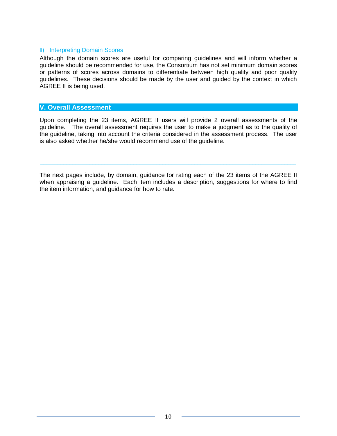#### ii) Interpreting Domain Scores

Although the domain scores are useful for comparing guidelines and will inform whether a guideline should be recommended for use, the Consortium has not set minimum domain scores or patterns of scores across domains to differentiate between high quality and poor quality guidelines. These decisions should be made by the user and guided by the context in which AGREE II is being used.

#### **V. Overall Assessment**

Upon completing the 23 items, AGREE II users will provide 2 overall assessments of the guideline. The overall assessment requires the user to make a judgment as to the quality of the guideline, taking into account the criteria considered in the assessment process. The user is also asked whether he/she would recommend use of the guideline.

The next pages include, by domain, guidance for rating each of the 23 items of the AGREE II when appraising a guideline. Each item includes a description, suggestions for where to find the item information, and guidance for how to rate.

 $\_$  . The contribution of the contribution of the contribution of the contribution of the contribution of the contribution of the contribution of the contribution of the contribution of the contribution of the contributio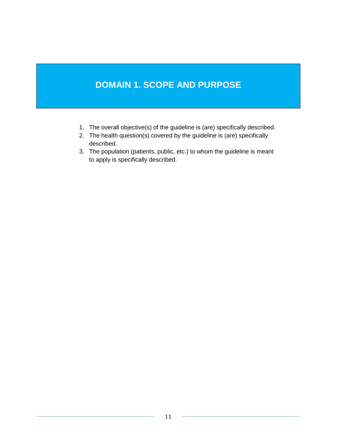# **DOMAIN 1. SCOPE AND PURPOSE**

- 1. The overall objective(s) of the guideline is (are) specifically described.
- 2. The health question(s) covered by the guideline is (are) specifically described.
- 3. The population (patients, public, etc.) to whom the guideline is meant to apply is specifically described.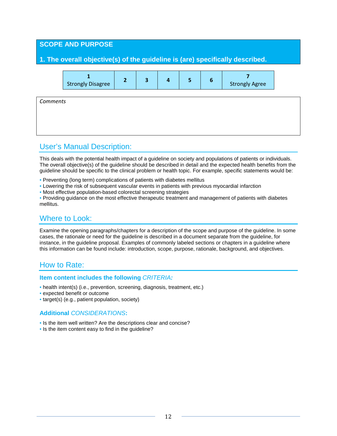### **SCOPE AND PURPOSE**

### **1. The overall objective(s) of the guideline is (are) specifically described.**

| <b>Strongly Disagree</b> |  |  | <b>Strongly Agree</b> |
|--------------------------|--|--|-----------------------|
|--------------------------|--|--|-----------------------|

*Comments*

# User's Manual Description:

This deals with the potential health impact of a guideline on society and populations of patients or individuals. The overall objective(s) of the guideline should be described in detail and the expected health benefits from the guideline should be specific to the clinical problem or health topic. For example, specific statements would be:

- Preventing (long term) complications of patients with diabetes mellitus
- Lowering the risk of subsequent vascular events in patients with previous myocardial infarction
- Most effective population-based colorectal screening strategies

• Providing guidance on the most effective therapeutic treatment and management of patients with diabetes mellitus.

# Where to Look:

Examine the opening paragraphs/chapters for a description of the scope and purpose of the guideline. In some cases, the rationale or need for the guideline is described in a document separate from the guideline, for instance, in the guideline proposal. Examples of commonly labeled sections or chapters in a guideline where this information can be found include: introduction, scope, purpose, rationale, background, and objectives.

# How to Rate:

#### **Item content includes the following** *CRITERIA:*

- health intent(s) (i.e., prevention, screening, diagnosis, treatment, etc.)
- expected benefit or outcome
- target(s) (e.g., patient population, society)

- Is the item well written? Are the descriptions clear and concise?
- Is the item content easy to find in the guideline?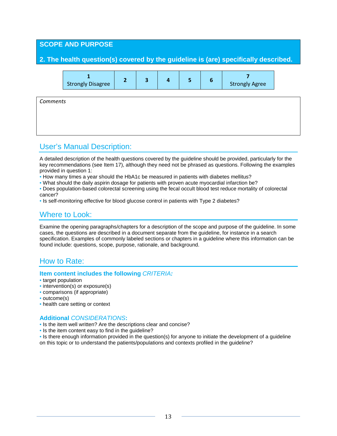### **SCOPE AND PURPOSE**

### **2. The health question(s) covered by the guideline is (are) specifically described.**

| <b>Strongly Disagree</b> | <b>Strongly Agree</b> |  |
|--------------------------|-----------------------|--|
|--------------------------|-----------------------|--|

*Comments*

# User's Manual Description:

A detailed description of the health questions covered by the guideline should be provided, particularly for the key recommendations (see Item 17), although they need not be phrased as questions. Following the examples provided in question 1:

- How many times a year should the HbA1c be measured in patients with diabetes mellitus?
- What should the daily aspirin dosage for patients with proven acute myocardial infarction be?
- Does population-based colorectal screening using the fecal occult blood test reduce mortality of colorectal cancer?
- Is self-monitoring effective for blood glucose control in patients with Type 2 diabetes?

# Where to Look:

Examine the opening paragraphs/chapters for a description of the scope and purpose of the guideline. In some cases, the questions are described in a document separate from the guideline, for instance in a search specification. Examples of commonly labeled sections or chapters in a guideline where this information can be found include: questions, scope, purpose, rationale, and background.

# How to Rate:

#### **Item content includes the following** *CRITERIA:*

#### • target population

- intervention(s) or exposure(s)
- comparisons (if appropriate)
- outcome(s)
- health care setting or context

#### **Additional** *CONSIDERATIONS***:**

- Is the item well written? Are the descriptions clear and concise?
- Is the item content easy to find in the guideline?

• Is there enough information provided in the question(s) for anyone to initiate the development of a guideline on this topic or to understand the patients/populations and contexts profiled in the guideline?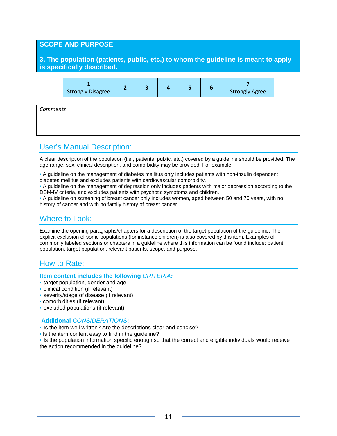#### **SCOPE AND PURPOSE**

#### **3. The population (patients, public, etc.) to whom the guideline is meant to apply is specifically described.**



*Comments*

# User's Manual Description:

A clear description of the population (i.e., patients, public, etc.) covered by a guideline should be provided. The age range, sex, clinical description, and comorbidity may be provided. For example:

• A guideline on the management of diabetes mellitus only includes patients with non-insulin dependent diabetes mellitus and excludes patients with cardiovascular comorbidity.

• A guideline on the management of depression only includes patients with major depression according to the DSM-IV criteria, and excludes patients with psychotic symptoms and children.

• A guideline on screening of breast cancer only includes women, aged between 50 and 70 years, with no history of cancer and with no family history of breast cancer.

# Where to Look:

Examine the opening paragraphs/chapters for a description of the target population of the guideline. The explicit exclusion of some populations (for instance children) is also covered by this item. Examples of commonly labeled sections or chapters in a guideline where this information can be found include: patient population, target population, relevant patients, scope, and purpose.

# How to Rate:

#### **Item content includes the following** *CRITERIA:*

- target population, gender and age
- clinical condition (if relevant)
- severity/stage of disease (if relevant)
- comorbidities (if relevant)
- excluded populations (if relevant)

#### **Additional** *CONSIDERATIONS***:**

- Is the item well written? Are the descriptions clear and concise?
- Is the item content easy to find in the guideline?

• Is the population information specific enough so that the correct and eligible individuals would receive the action recommended in the guideline?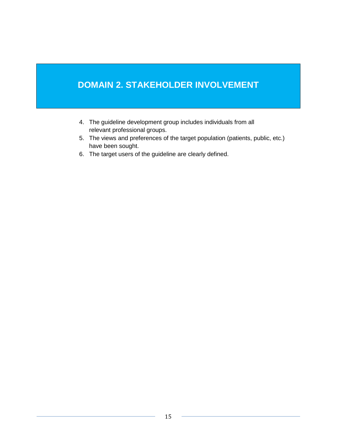# **DOMAIN 2. STAKEHOLDER INVOLVEMENT**

- 4. The guideline development group includes individuals from all relevant professional groups.
- 5. The views and preferences of the target population (patients, public, etc.) have been sought.
- 6. The target users of the guideline are clearly defined.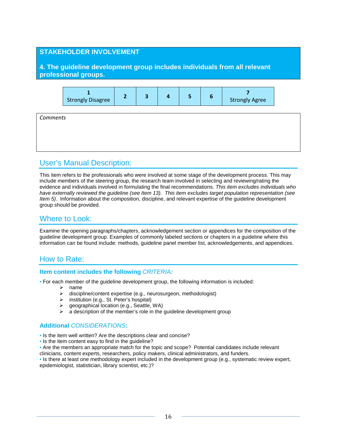### **STAKEHOLDER INVOLVEMENT**

**4. The guideline development group includes individuals from all relevant professional groups.**

| <b>Strongly Disagree</b> |  |  | <b>Strongly Agree</b> |
|--------------------------|--|--|-----------------------|
|--------------------------|--|--|-----------------------|

*Comments*

# User's Manual Description:

This item refers to the professionals who were involved at some stage of the development process. This may include members of the steering group, the research team involved in selecting and reviewing/rating the evidence and individuals involved in formulating the final recommendations. *This item excludes individuals who have externally reviewed the guideline (see Item 13). This item excludes target population representation (see Item 5)*. Information about the composition, discipline, and relevant expertise of the guideline development group should be provided.

# Where to Look:

Examine the opening paragraphs/chapters, acknowledgement section or appendices for the composition of the guideline development group. Examples of commonly labeled sections or chapters in a guideline where this information can be found include: methods, guideline panel member list, acknowledgements, and appendices.

# How to Rate:

#### **Item content includes the following** *CRITERIA:*

- For each member of the guideline development group, the following information is included:
	- $\geq$  name<br> $\geq$  discip
		- discipline/content expertise (e.g., neurosurgeon, methodologist)
	- > institution (e.g., St. Peter's hospital)<br>
	→ aeographical location (e.g., Seattle,
	- $\ge$  geographical location (e.g., Seattle, WA)<br>  $\ge$  a description of the member's role in the
	- a description of the member's role in the guideline development group

#### **Additional** *CONSIDERATIONS***:**

- Is the item well written? Are the descriptions clear and concise?
- Is the item content easy to find in the guideline?
- Are the members an appropriate match for the topic and scope? Potential candidates include relevant clinicians, content experts, researchers, policy makers, clinical administrators, and funders.

• Is there at least one methodology expert included in the development group (e.g., systematic review expert, epidemiologist, statistician, library scientist, etc.)?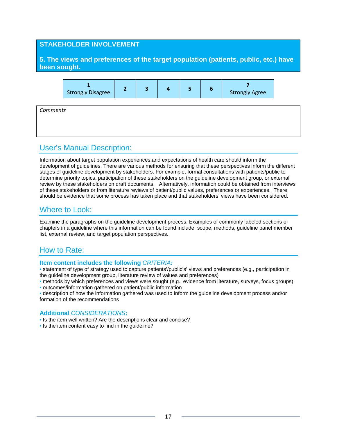#### **STAKEHOLDER INVOLVEMENT**

### **5. The views and preferences of the target population (patients, public, etc.) have been sought.**



# User's Manual Description:

Information about target population experiences and expectations of health care should inform the development of guidelines. There are various methods for ensuring that these perspectives inform the different stages of guideline development by stakeholders. For example, formal consultations with patients/public to determine priority topics, participation of these stakeholders on the guideline development group, or external review by these stakeholders on draft documents. Alternatively, information could be obtained from interviews of these stakeholders or from literature reviews of patient/public values, preferences or experiences. There should be evidence that some process has taken place and that stakeholders' views have been considered.

# Where to Look:

Examine the paragraphs on the guideline development process. Examples of commonly labeled sections or chapters in a guideline where this information can be found include: scope, methods, guideline panel member list, external review, and target population perspectives.

# How to Rate:

#### **Item content includes the following** *CRITERIA:*

• statement of type of strategy used to capture patients'/public's' views and preferences (e.g., participation in the guideline development group, literature review of values and preferences)

- methods by which preferences and views were sought (e.g., evidence from literature, surveys, focus groups) • outcomes/information gathered on patient/public information
- description of how the information gathered was used to inform the guideline development process and/or formation of the recommendations

- Is the item well written? Are the descriptions clear and concise?
- Is the item content easy to find in the guideline?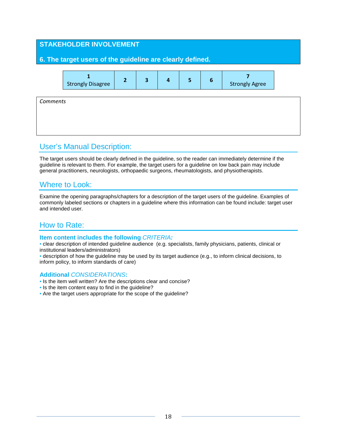# **STAKEHOLDER INVOLVEMENT 6. The target users of the guideline are clearly defined. 1** Strongly Disagree **<sup>2</sup> <sup>3</sup> <sup>4</sup> <sup>5</sup> <sup>6</sup> <sup>7</sup>** Strongly Agree *Comments*

# User's Manual Description:

The target users should be clearly defined in the guideline, so the reader can immediately determine if the guideline is relevant to them. For example, the target users for a guideline on low back pain may include general practitioners, neurologists, orthopaedic surgeons, rheumatologists, and physiotherapists.

# Where to Look:

Examine the opening paragraphs/chapters for a description of the target users of the guideline. Examples of commonly labeled sections or chapters in a guideline where this information can be found include: target user and intended user.

# How to Rate:

#### **Item content includes the following** *CRITERIA:*

• clear description of intended guideline audience (e.g. specialists, family physicians, patients, clinical or institutional leaders/administrators)

• description of how the guideline may be used by its target audience (e.g., to inform clinical decisions, to inform policy, to inform standards of care)

- Is the item well written? Are the descriptions clear and concise?
- Is the item content easy to find in the guideline?
- Are the target users appropriate for the scope of the guideline?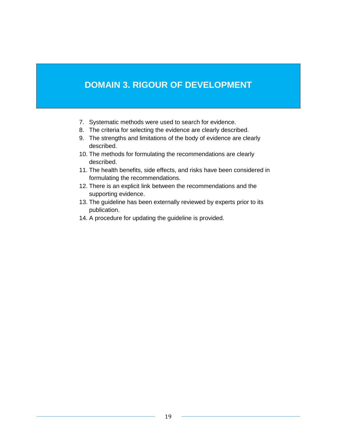# **DOMAIN 3. RIGOUR OF DEVELOPMENT**

- 7. Systematic methods were used to search for evidence.
- 8. The criteria for selecting the evidence are clearly described.
- 9. The strengths and limitations of the body of evidence are clearly described.
- 10. The methods for formulating the recommendations are clearly described.
- 11. The health benefits, side effects, and risks have been considered in formulating the recommendations.
- 12. There is an explicit link between the recommendations and the supporting evidence.
- 13. The guideline has been externally reviewed by experts prior to its publication.
- 14. A procedure for updating the guideline is provided.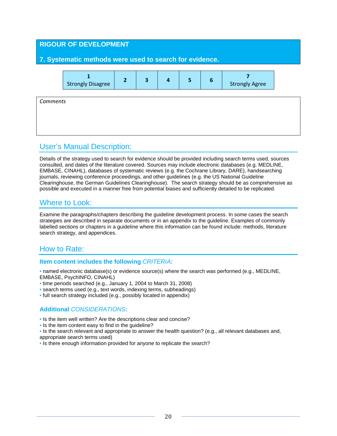# **RIGOUR OF DEVELOPMENT 7. Systematic methods were used to search for evidence. 1** Strongly Disagree **<sup>2</sup> <sup>3</sup> <sup>4</sup> <sup>5</sup> <sup>6</sup> <sup>7</sup>** Strongly Agree *Comments*

# User's Manual Description:

Details of the strategy used to search for evidence should be provided including search terms used, sources consulted, and dates of the literature covered. Sources may include electronic databases (e.g. MEDLINE, EMBASE, CINAHL), databases of systematic reviews (e.g. the Cochrane Library, DARE), handsearching journals, reviewing conference proceedings, and other guidelines (e.g. the US National Guideline Clearinghouse, the German Guidelines Clearinghouse). The search strategy should be as comprehensive as possible and executed in a manner free from potential biases and sufficiently detailed to be replicated.

# Where to Look:

Examine the paragraphs/chapters describing the guideline development process. In some cases the search strategies are described in separate documents or in an appendix to the guideline. Examples of commonly labelled sections or chapters in a guideline where this information can be found include: methods, literature search strategy, and appendices.

# How to Rate:

#### **Item content includes the following** *CRITERIA:*

• named electronic database(s) or evidence source(s) where the search was performed (e.g., MEDLINE, EMBASE, PsychINFO, CINAHL)

- time periods searched (e.g., January 1, 2004 to March 31, 2008)
- search terms used (e.g., text words, indexing terms, subheadings)
- full search strategy included (e.g., possibly located in appendix)

- Is the item well written? Are the descriptions clear and concise?
- Is the item content easy to find in the guideline?
- Is the search relevant and appropriate to answer the health question? (e.g., all relevant databases and, appropriate search terms used)
- Is there enough information provided for anyone to replicate the search?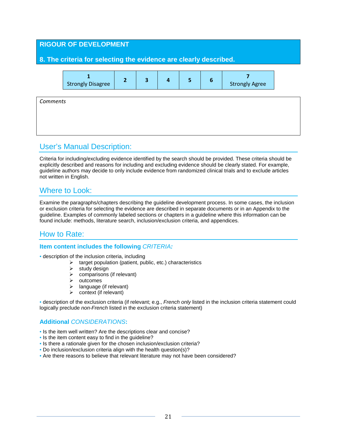# **RIGOUR OF DEVELOPMENT 8. The criteria for selecting the evidence are clearly described. 1** Strongly Disagree **<sup>2</sup> <sup>3</sup> <sup>4</sup> <sup>5</sup> <sup>6</sup> <sup>7</sup>** Strongly Agree *Comments*

# User's Manual Description:

Criteria for including/excluding evidence identified by the search should be provided. These criteria should be explicitly described and reasons for including and excluding evidence should be clearly stated. For example, guideline authors may decide to only include evidence from randomized clinical trials and to exclude articles not written in English.

# Where to Look:

Examine the paragraphs/chapters describing the guideline development process. In some cases, the inclusion or exclusion criteria for selecting the evidence are described in separate documents or in an Appendix to the guideline. Examples of commonly labeled sections or chapters in a guideline where this information can be found include: methods, literature search, inclusion/exclusion criteria, and appendices.

# How to Rate:

#### **Item content includes the following** *CRITERIA:*

- description of the inclusion criteria, including
	- $\triangleright$  target population (patient, public, etc.) characteristics
	- $\triangleright$  study design
	- $\triangleright$  comparisons (if relevant)
	- $\triangleright$  outcomes
	- $\triangleright$  language (if relevant)
	- $\triangleright$  context (if relevant)

• description of the exclusion criteria (if relevant; e.g., *French only* listed in the inclusion criteria statement could logically preclude *non-French* listed in the exclusion criteria statement)

- Is the item well written? Are the descriptions clear and concise?
- Is the item content easy to find in the guideline?
- Is there a rationale given for the chosen inclusion/exclusion criteria?
- Do inclusion/exclusion criteria align with the health question(s)?
- Are there reasons to believe that relevant literature may not have been considered?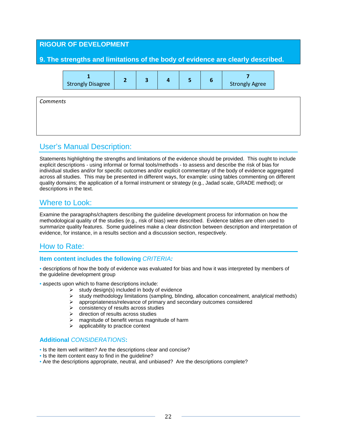# **RIGOUR OF DEVELOPMENT 9. The strengths and limitations of the body of evidence are clearly described. 1** Strongly Disagree **<sup>2</sup> <sup>3</sup> <sup>4</sup> <sup>5</sup> <sup>6</sup> <sup>7</sup>** Strongly Agree *Comments*

# User's Manual Description:

Statements highlighting the strengths and limitations of the evidence should be provided. This ought to include explicit descriptions - using informal or formal tools/methods - to assess and describe the risk of bias for individual studies and/or for specific outcomes and/or explicit commentary of the body of evidence aggregated across all studies. This may be presented in different ways, for example: using tables commenting on different quality domains; the application of a formal instrument or strategy (e.g., Jadad scale, GRADE method); or descriptions in the text.

# Where to Look:

Examine the paragraphs/chapters describing the guideline development process for information on how the methodological quality of the studies (e.g., risk of bias) were described. Evidence tables are often used to summarize quality features. Some guidelines make a clear distinction between description and interpretation of evidence, for instance, in a results section and a discussion section, respectively.

# How to Rate:

#### **Item content includes the following** *CRITERIA:*

• descriptions of how the body of evidence was evaluated for bias and how it was interpreted by members of the guideline development group

- aspects upon which to frame descriptions include:
	- $\triangleright$  study design(s) included in body of evidence
	- $\triangleright$  study methodology limitations (sampling, blinding, allocation concealment, analytical methods)<br>  $\triangleright$  appropriateness/relevance of primary and secondary outcomes considered
	- appropriateness/relevance of primary and secondary outcomes considered
	- $\triangleright$  consistency of results across studies
	- $\triangleright$  direction of results across studies
	- $\triangleright$  magnitude of benefit versus magnitude of harm
	- $\triangleright$  applicability to practice context

- Is the item well written? Are the descriptions clear and concise?
- Is the item content easy to find in the guideline?
- Are the descriptions appropriate, neutral, and unbiased? Are the descriptions complete?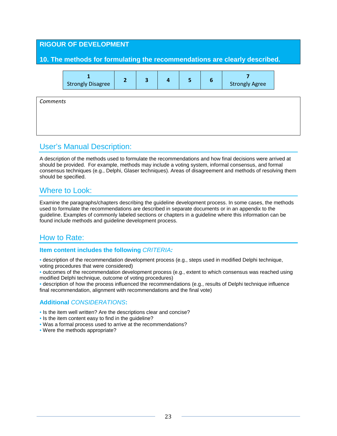# **RIGOUR OF DEVELOPMENT 10. The methods for formulating the recommendations are clearly described. 1** Strongly Disagree **<sup>2</sup> <sup>3</sup> <sup>4</sup> <sup>5</sup> <sup>6</sup> <sup>7</sup>** Strongly Agree *Comments*

# User's Manual Description:

A description of the methods used to formulate the recommendations and how final decisions were arrived at should be provided. For example, methods may include a voting system, informal consensus, and formal consensus techniques (e.g., Delphi, Glaser techniques). Areas of disagreement and methods of resolving them should be specified.

# Where to Look:

Examine the paragraphs/chapters describing the guideline development process. In some cases, the methods used to formulate the recommendations are described in separate documents or in an appendix to the guideline. Examples of commonly labeled sections or chapters in a guideline where this information can be found include methods and guideline development process.

# How to Rate:

#### **Item content includes the following** *CRITERIA:*

- description of the recommendation development process (e.g., steps used in modified Delphi technique, voting procedures that were considered)
- outcomes of the recommendation development process (e.g., extent to which consensus was reached using modified Delphi technique, outcome of voting procedures)
- description of how the process influenced the recommendations (e.g., results of Delphi technique influence final recommendation, alignment with recommendations and the final vote)

- Is the item well written? Are the descriptions clear and concise?
- Is the item content easy to find in the guideline?
- Was a formal process used to arrive at the recommendations?
- Were the methods appropriate?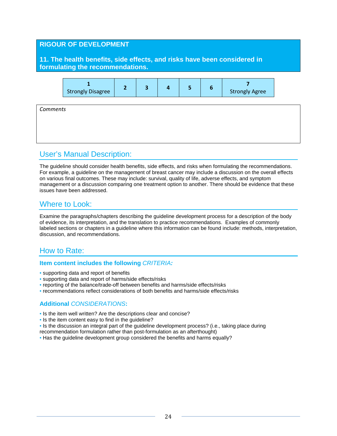### **RIGOUR OF DEVELOPMENT**

**11. The health benefits, side effects, and risks have been considered in formulating the recommendations.**



*Comments*

# User's Manual Description:

The guideline should consider health benefits, side effects, and risks when formulating the recommendations. For example, a guideline on the management of breast cancer may include a discussion on the overall effects on various final outcomes. These may include: survival, quality of life, adverse effects, and symptom management or a discussion comparing one treatment option to another. There should be evidence that these issues have been addressed.

# Where to Look:

Examine the paragraphs/chapters describing the guideline development process for a description of the body of evidence, its interpretation, and the translation to practice recommendations. Examples of commonly labeled sections or chapters in a guideline where this information can be found include: methods, interpretation, discussion, and recommendations.

# How to Rate:

#### **Item content includes the following** *CRITERIA:*

- supporting data and report of benefits
- supporting data and report of harms/side effects/risks
- reporting of the balance/trade-off between benefits and harms/side effects/risks
- recommendations reflect considerations of both benefits and harms/side effects/risks

- Is the item well written? Are the descriptions clear and concise?
- Is the item content easy to find in the quideline?
- Is the discussion an integral part of the guideline development process? (i.e., taking place during
- recommendation formulation rather than post-formulation as an afterthought)
- Has the guideline development group considered the benefits and harms equally?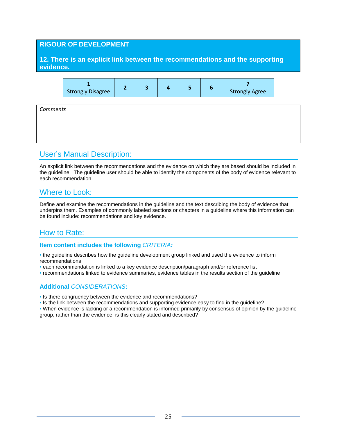### **RIGOUR OF DEVELOPMENT**

**12. There is an explicit link between the recommendations and the supporting evidence.**



*Comments*

# User's Manual Description:

An explicit link between the recommendations and the evidence on which they are based should be included in the guideline. The guideline user should be able to identify the components of the body of evidence relevant to each recommendation.

# Where to Look:

Define and examine the recommendations in the guideline and the text describing the body of evidence that underpins them. Examples of commonly labeled sections or chapters in a guideline where this information can be found include: recommendations and key evidence.

# How to Rate:

#### **Item content includes the following** *CRITERIA:*

• the guideline describes how the guideline development group linked and used the evidence to inform recommendations

- each recommendation is linked to a key evidence description/paragraph and/or reference list
- recommendations linked to evidence summaries, evidence tables in the results section of the guideline

### **Additional** *CONSIDERATIONS***:**

• Is there congruency between the evidence and recommendations?

• Is the link between the recommendations and supporting evidence easy to find in the guideline?

• When evidence is lacking or a recommendation is informed primarily by consensus of opinion by the guideline group, rather than the evidence, is this clearly stated and described?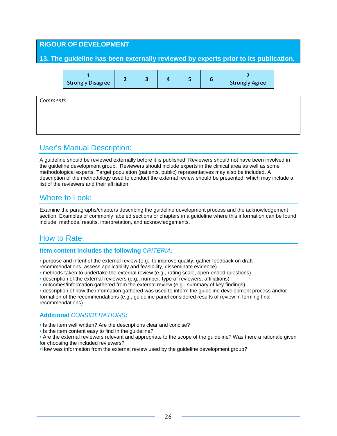# **RIGOUR OF DEVELOPMENT 13. The guideline has been externally reviewed by experts prior to its publication. 1** Strongly Disagree **<sup>2</sup> <sup>3</sup> <sup>4</sup> <sup>5</sup> <sup>6</sup> <sup>7</sup>** Strongly Agree *Comments*

# User's Manual Description:

A guideline should be reviewed externally before it is published. Reviewers should not have been involved in the guideline development group. Reviewers should include experts in the clinical area as well as some methodological experts. Target population (patients, public) representatives may also be included. A description of the methodology used to conduct the external review should be presented, which may include a list of the reviewers and their affiliation.

# Where to Look:

Examine the paragraphs/chapters describing the guideline development process and the acknowledgement section. Examples of commonly labeled sections or chapters in a guideline where this information can be found include: methods, results, interpretation, and acknowledgements.

# How to Rate:

#### **Item content includes the following** *CRITERIA:*

• purpose and intent of the external review (e.g., to improve quality, gather feedback on draft recommendations, assess applicability and feasibility, disseminate evidence)

- methods taken to undertake the external review (e.g., rating scale, open-ended questions)
- description of the external reviewers (e.g., number, type of reviewers, affiliations)

• outcomes/information gathered from the external review (e.g., summary of key findings)

• description of how the information gathered was used to inform the guideline development process and/or formation of the recommendations (e.g., guideline panel considered results of review in forming final recommendations)

# **Additional** *CONSIDERATIONS***:**

• Is the item well written? Are the descriptions clear and concise?

• Is the item content easy to find in the guideline?

• Are the external reviewers relevant and appropriate to the scope of the guideline? Was there a rationale given for choosing the included reviewers?

•How was information from the external review used by the guideline development group?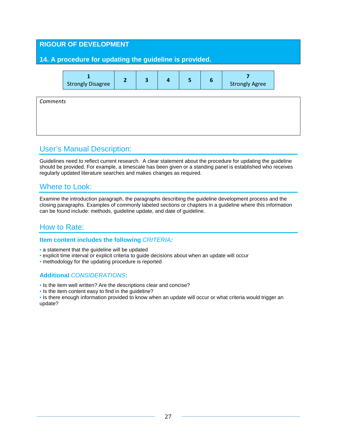| <b>RIGOUR OF DEVELOPMENT</b><br>14. A procedure for updating the guideline is provided. |                          |                |                         |                         |   |                 |                       |  |
|-----------------------------------------------------------------------------------------|--------------------------|----------------|-------------------------|-------------------------|---|-----------------|-----------------------|--|
|                                                                                         | <b>Strongly Disagree</b> | $\overline{2}$ | $\overline{\mathbf{3}}$ | $\overline{\mathbf{4}}$ | 5 | $6\phantom{1}6$ | <b>Strongly Agree</b> |  |
| Comments                                                                                |                          |                |                         |                         |   |                 |                       |  |
|                                                                                         |                          |                |                         |                         |   |                 |                       |  |

# User's Manual Description:

Guidelines need to reflect current research. A clear statement about the procedure for updating the guideline should be provided. For example, a timescale has been given or a standing panel is established who receives regularly updated literature searches and makes changes as required.

# Where to Look:

Examine the introduction paragraph, the paragraphs describing the guideline development process and the closing paragraphs. Examples of commonly labeled sections or chapters in a guideline where this information can be found include: methods, guideline update, and date of guideline.

# How to Rate:

#### **Item content includes the following** *CRITERIA:*

- a statement that the guideline will be updated
- explicit time interval or explicit criteria to guide decisions about when an update will occur
- methodology for the updating procedure is reported

### **Additional** *CONSIDERATIONS***:**

- Is the item well written? Are the descriptions clear and concise?
- Is the item content easy to find in the guideline?

• Is there enough information provided to know when an update will occur or what criteria would trigger an update?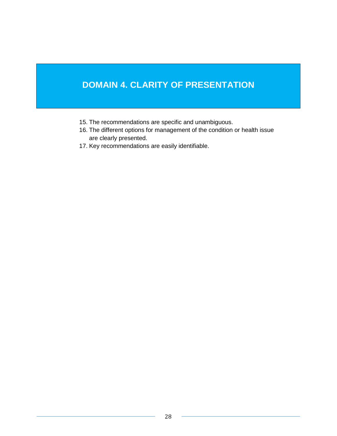# **DOMAIN 4. CLARITY OF PRESENTATION**

- 15. The recommendations are specific and unambiguous.
- 16. The different options for management of the condition or health issue are clearly presented.
- 17. Key recommendations are easily identifiable.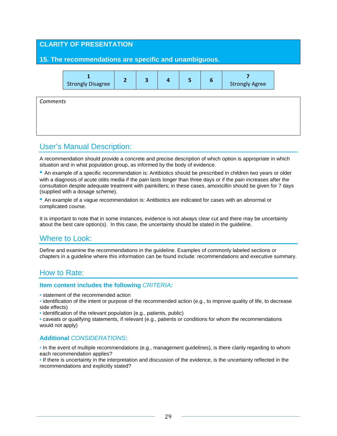# **CLARITY OF PRESENTATION 15. The recommendations are specific and unambiguous. 1** Strongly Disagree **<sup>2</sup> <sup>3</sup> <sup>4</sup> <sup>5</sup> <sup>6</sup> <sup>7</sup>** Strongly Agree *Comments*

# User's Manual Description:

A recommendation should provide a concrete and precise description of which option is appropriate in which situation and in what population group, as informed by the body of evidence.

• An example of a specific recommendation is: Antibiotics should be prescribed in children two years or older with a diagnosis of acute otitis media if the pain lasts longer than three days or if the pain increases after the consultation despite adequate treatment with painkillers; in these cases, amoxicillin should be given for 7 days (supplied with a dosage scheme).

• An example of a vague recommendation is: Antibiotics are indicated for cases with an abnormal or complicated course.

It is important to note that in some instances, evidence is not always clear cut and there may be uncertainty about the best care option(s). In this case, the uncertainty should be stated in the guideline.

# Where to Look:

Define and examine the recommendations in the guideline. Examples of commonly labeled sections or chapters in a guideline where this information can be found include: recommendations and executive summary.

### How to Rate:

#### **Item content includes the following** *CRITERIA:*

• statement of the recommended action

- identification of the intent or purpose of the recommended action (e.g., to improve quality of life, to decrease side effects)
- identification of the relevant population (e.g., patients, public)
- caveats or qualifying statements, if relevant (e.g., patients or conditions for whom the recommendations would not apply)

#### **Additional** *CONSIDERATIONS***:**

• In the event of multiple recommendations (e.g., management guidelines), is there clarity regarding to whom each recommendation applies?

• If there is uncertainty in the interpretation and discussion of the evidence, is the uncertainty reflected in the recommendations and explicitly stated?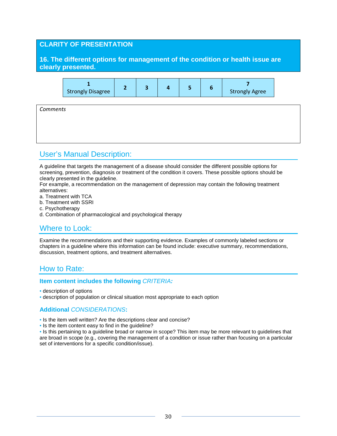### **CLARITY OF PRESENTATION**

**16. The different options for management of the condition or health issue are clearly presented.**



*Comments*

# User's Manual Description:

A guideline that targets the management of a disease should consider the different possible options for screening, prevention, diagnosis or treatment of the condition it covers. These possible options should be clearly presented in the guideline.

For example, a recommendation on the management of depression may contain the following treatment alternatives:

- a. Treatment with TCA
- b. Treatment with SSRI
- c. Psychotherapy
- d. Combination of pharmacological and psychological therapy

# Where to Look:

Examine the recommendations and their supporting evidence. Examples of commonly labeled sections or chapters in a guideline where this information can be found include: executive summary, recommendations, discussion, treatment options, and treatment alternatives.

# How to Rate:

#### **Item content includes the following** *CRITERIA:*

- description of options
- description of population or clinical situation most appropriate to each option

#### **Additional** *CONSIDERATIONS***:**

- Is the item well written? Are the descriptions clear and concise?
- Is the item content easy to find in the guideline?

• Is this pertaining to a guideline broad or narrow in scope? This item may be more relevant to guidelines that are broad in scope (e.g., covering the management of a condition or issue rather than focusing on a particular set of interventions for a specific condition/issue).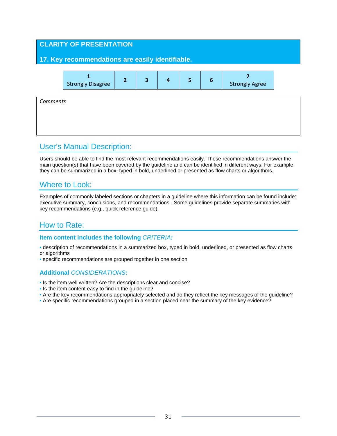# **CLARITY OF PRESENTATION 17. Key recommendations are easily identifiable. 1** Strongly Disagree **<sup>2</sup> <sup>3</sup> <sup>4</sup> <sup>5</sup> <sup>6</sup> <sup>7</sup>** Strongly Agree *Comments*

# User's Manual Description:

Users should be able to find the most relevant recommendations easily. These recommendations answer the main question(s) that have been covered by the guideline and can be identified in different ways. For example, they can be summarized in a box, typed in bold, underlined or presented as flow charts or algorithms.

# Where to Look:

Examples of commonly labeled sections or chapters in a guideline where this information can be found include: executive summary, conclusions, and recommendations. Some guidelines provide separate summaries with key recommendations (e.g., quick reference guide).

# How to Rate:

#### **Item content includes the following** *CRITERIA:*

• description of recommendations in a summarized box, typed in bold, underlined, or presented as flow charts or algorithms

• specific recommendations are grouped together in one section

- Is the item well written? Are the descriptions clear and concise?
- Is the item content easy to find in the guideline?
- Are the key recommendations appropriately selected and do they reflect the key messages of the guideline?
- Are specific recommendations grouped in a section placed near the summary of the key evidence?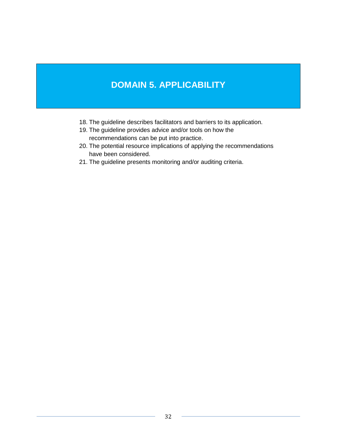# **DOMAIN 5. APPLICABILITY**

- 18. The guideline describes facilitators and barriers to its application.
- 19. The guideline provides advice and/or tools on how the recommendations can be put into practice.
- 20. The potential resource implications of applying the recommendations have been considered.
- 21. The guideline presents monitoring and/or auditing criteria.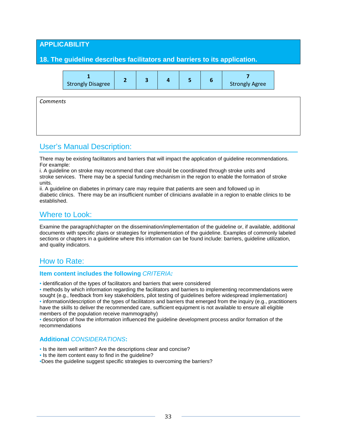### **APPLICABILITY**

#### **18. The guideline describes facilitators and barriers to its application.**

| <b>Strongly Disagree</b> |  |  |  |  |  | <b>Strongly Agree</b> |
|--------------------------|--|--|--|--|--|-----------------------|
|--------------------------|--|--|--|--|--|-----------------------|

*Comments*

# User's Manual Description:

There may be existing facilitators and barriers that will impact the application of guideline recommendations. For example:

i. A guideline on stroke may recommend that care should be coordinated through stroke units and stroke services. There may be a special funding mechanism in the region to enable the formation of stroke units.

ii. A guideline on diabetes in primary care may require that patients are seen and followed up in diabetic clinics. There may be an insufficient number of clinicians available in a region to enable clinics to be established.

# Where to Look:

Examine the paragraph/chapter on the dissemination/implementation of the guideline or, if available, additional documents with specific plans or strategies for implementation of the guideline. Examples of commonly labeled sections or chapters in a guideline where this information can be found include: barriers, guideline utilization, and quality indicators.

# How to Rate:

#### **Item content includes the following** *CRITERIA:*

• identification of the types of facilitators and barriers that were considered

• methods by which information regarding the facilitators and barriers to implementing recommendations were sought (e.g., feedback from key stakeholders, pilot testing of guidelines before widespread implementation) • information/description of the types of facilitators and barriers that emerged from the inquiry (e.g., practitioners have the skills to deliver the recommended care, sufficient equipment is not available to ensure all eligible members of the population receive mammography)

• description of how the information influenced the guideline development process and/or formation of the recommendations

#### **Additional** *CONSIDERATIONS***:**

- Is the item well written? Are the descriptions clear and concise?
- Is the item content easy to find in the guideline?

•Does the guideline suggest specific strategies to overcoming the barriers?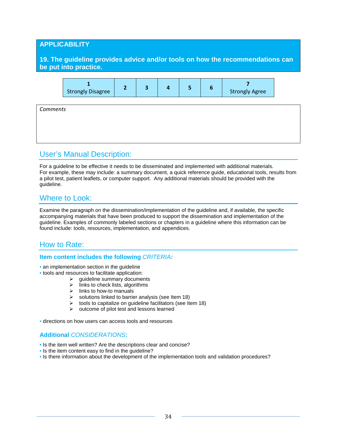### **APPLICABILITY**

**19. The guideline provides advice and/or tools on how the recommendations can be put into practice.**



*Comments*

# User's Manual Description:

For a guideline to be effective it needs to be disseminated and implemented with additional materials. For example, these may include: a summary document, a quick reference guide, educational tools, results from a pilot test, patient leaflets, or computer support. Any additional materials should be provided with the guideline.

# Where to Look:

Examine the paragraph on the dissemination/implementation of the guideline and, if available, the specific accompanying materials that have been produced to support the dissemination and implementation of the guideline. Examples of commonly labeled sections or chapters in a guideline where this information can be found include: tools, resources, implementation, and appendices.

# How to Rate:

#### **Item content includes the following** *CRITERIA:*

- an implementation section in the guideline
- tools and resources to facilitate application:
	- $\geq$  guideline summary documents<br> $\geq$  links to check lists, algorithms
	- links to check lists, algorithms
	- $\triangleright$  links to how-to manuals
	- $\triangleright$  solutions linked to barrier analysis (see Item 18)
	- $\triangleright$  tools to capitalize on guideline facilitators (see Item 18)
	- $\triangleright$  outcome of pilot test and lessons learned

• directions on how users can access tools and resources

- Is the item well written? Are the descriptions clear and concise?
- Is the item content easy to find in the guideline?
- Is there information about the development of the implementation tools and validation procedures?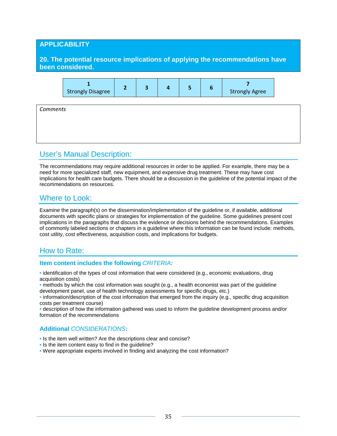### **APPLICABILITY**

**20. The potential resource implications of applying the recommendations have been considered.**



*Comments*

# User's Manual Description:

The recommendations may require additional resources in order to be applied. For example, there may be a need for more specialized staff, new equipment, and expensive drug treatment. These may have cost implications for health care budgets. There should be a discussion in the guideline of the potential impact of the recommendations on resources.

# Where to Look:

Examine the paragraph(s) on the dissemination/implementation of the guideline or, if available, additional documents with specific plans or strategies for implementation of the guideline. Some guidelines present cost implications in the paragraphs that discuss the evidence or decisions behind the recommendations. Examples of commonly labeled sections or chapters in a guideline where this information can be found include: methods, cost utility, cost effectiveness, acquisition costs, and implications for budgets.

# How to Rate:

#### **Item content includes the following** *CRITERIA:*

• identification of the types of cost information that were considered (e.g., economic evaluations, drug acquisition costs)

• methods by which the cost information was sought (e.g., a health economist was part of the guideline development panel, use of health technology assessments for specific drugs, etc.)

• information/description of the cost information that emerged from the inquiry (e.g., specific drug acquisition costs per treatment course)

• description of how the information gathered was used to inform the guideline development process and/or formation of the recommendations

- Is the item well written? Are the descriptions clear and concise?
- Is the item content easy to find in the guideline?
- Were appropriate experts involved in finding and analyzing the cost information?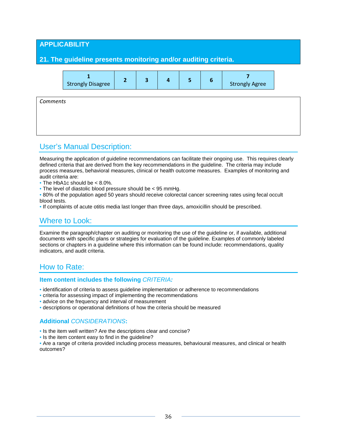# **APPLICABILITY 21. The guideline presents monitoring and/or auditing criteria. 1** Strongly Disagree **<sup>2</sup> <sup>3</sup> <sup>4</sup> <sup>5</sup> <sup>6</sup> <sup>7</sup>** Strongly Agree *Comments*

# User's Manual Description:

Measuring the application of guideline recommendations can facilitate their ongoing use. This requires clearly defined criteria that are derived from the key recommendations in the guideline. The criteria may include process measures, behavioral measures, clinical or health outcome measures. Examples of monitoring and audit criteria are:

• The HbA1c should be < 8.0%.

• The level of diastolic blood pressure should be < 95 mmHg.

• 80% of the population aged 50 years should receive colorectal cancer screening rates using fecal occult blood tests.

• If complaints of acute otitis media last longer than three days, amoxicillin should be prescribed.

# Where to Look:

Examine the paragraph/chapter on auditing or monitoring the use of the guideline or, if available, additional documents with specific plans or strategies for evaluation of the guideline. Examples of commonly labeled sections or chapters in a guideline where this information can be found include: recommendations, quality indicators, and audit criteria.

# How to Rate:

#### **Item content includes the following** *CRITERIA:*

• identification of criteria to assess guideline implementation or adherence to recommendations

- criteria for assessing impact of implementing the recommendations
- advice on the frequency and interval of measurement
- descriptions or operational definitions of how the criteria should be measured

### **Additional** *CONSIDERATIONS***:**

• Is the item well written? Are the descriptions clear and concise?

• Is the item content easy to find in the guideline?

• Are a range of criteria provided including process measures, behavioural measures, and clinical or health outcomes?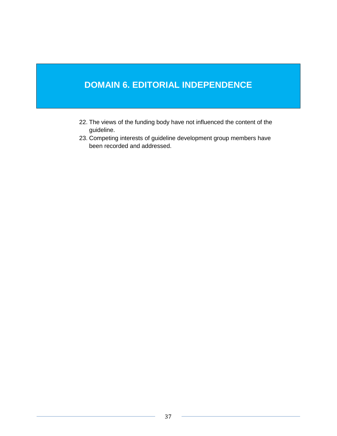# **DOMAIN 6. EDITORIAL INDEPENDENCE**

- 22. The views of the funding body have not influenced the content of the guideline.
- 23. Competing interests of guideline development group members have been recorded and addressed.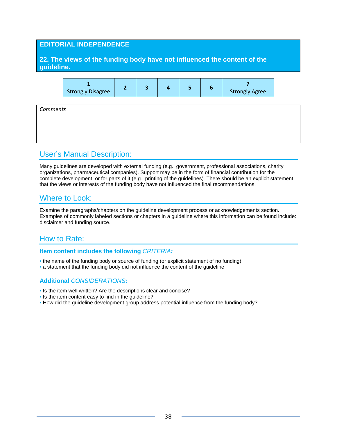### **EDITORIAL INDEPENDENCE**

### **22. The views of the funding body have not influenced the content of the guideline.**



*Comments*

# User's Manual Description:

Many guidelines are developed with external funding (e.g., government, professional associations, charity organizations, pharmaceutical companies). Support may be in the form of financial contribution for the complete development, or for parts of it (e.g., printing of the guidelines). There should be an explicit statement that the views or interests of the funding body have not influenced the final recommendations.

# Where to Look:

Examine the paragraphs/chapters on the guideline development process or acknowledgements section. Examples of commonly labeled sections or chapters in a guideline where this information can be found include: disclaimer and funding source.

# How to Rate:

#### **Item content includes the following** *CRITERIA:*

- the name of the funding body or source of funding (or explicit statement of no funding)
- a statement that the funding body did not influence the content of the guideline

- Is the item well written? Are the descriptions clear and concise?
- Is the item content easy to find in the guideline?
- How did the guideline development group address potential influence from the funding body?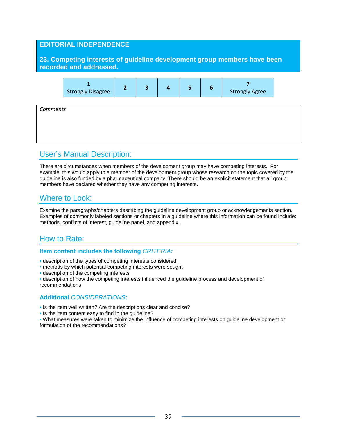### **EDITORIAL INDEPENDENCE**

**23. Competing interests of guideline development group members have been recorded and addressed.**



*Comments*

# User's Manual Description:

There are circumstances when members of the development group may have competing interests. For example, this would apply to a member of the development group whose research on the topic covered by the guideline is also funded by a pharmaceutical company. There should be an explicit statement that all group members have declared whether they have any competing interests.

# Where to Look:

Examine the paragraphs/chapters describing the guideline development group or acknowledgements section. Examples of commonly labeled sections or chapters in a guideline where this information can be found include: methods, conflicts of interest, guideline panel, and appendix.

# How to Rate:

#### **Item content includes the following** *CRITERIA:*

- description of the types of competing interests considered
- methods by which potential competing interests were sought
- description of the competing interests
- description of how the competing interests influenced the guideline process and development of recommendations

- Is the item well written? Are the descriptions clear and concise?
- Is the item content easy to find in the guideline?
- What measures were taken to minimize the influence of competing interests on guideline development or formulation of the recommendations?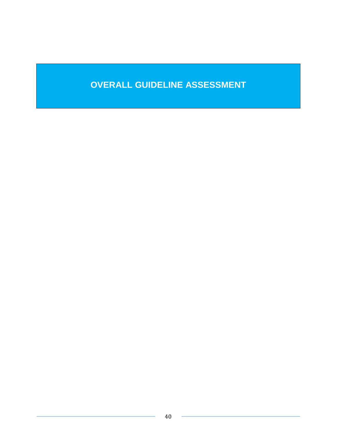# **OVERALL GUIDELINE ASSESSMENT**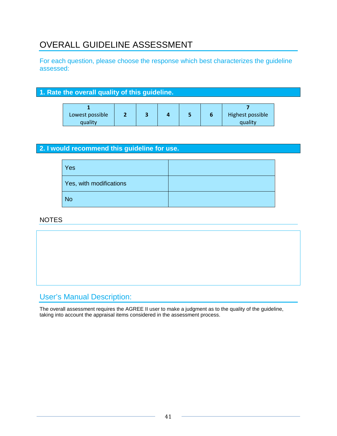# OVERALL GUIDELINE ASSESSMENT

For each question, please choose the response which best characterizes the guideline assessed:

### **1. Rate the overall quality of this guideline.**

| Lowest possible |  |  | Highest possible |
|-----------------|--|--|------------------|
| quality         |  |  | quality          |

### **2. I would recommend this guideline for use.**

| Yes                     |  |
|-------------------------|--|
| Yes, with modifications |  |
| No                      |  |

# NOTES



# User's Manual Description:

The overall assessment requires the AGREE II user to make a judgment as to the quality of the guideline, taking into account the appraisal items considered in the assessment process.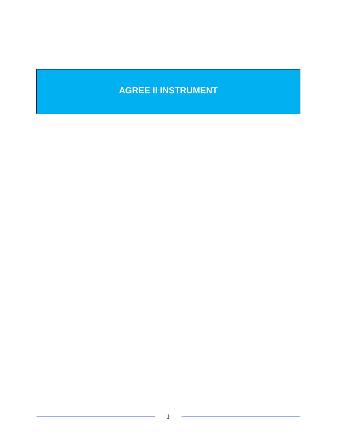# **AGREE II INSTRUMENT**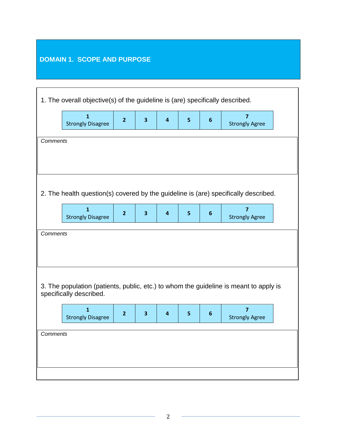# **DOMAIN 1. SCOPE AND PURPOSE**

| 1. The overall objective(s) of the guideline is (are) specifically described.                                                                                                         |                                                                                                                                                                                     |                |                         |                         |   |   |                                                                                       |  |
|---------------------------------------------------------------------------------------------------------------------------------------------------------------------------------------|-------------------------------------------------------------------------------------------------------------------------------------------------------------------------------------|----------------|-------------------------|-------------------------|---|---|---------------------------------------------------------------------------------------|--|
|                                                                                                                                                                                       | $\mathbf{1}$<br><b>Strongly Disagree</b>                                                                                                                                            | $\overline{2}$ | $\overline{\mathbf{3}}$ | $\overline{\mathbf{4}}$ | 5 | 6 | $\overline{\mathbf{z}}$<br><b>Strongly Agree</b>                                      |  |
| <b>Comments</b>                                                                                                                                                                       |                                                                                                                                                                                     |                |                         |                         |   |   |                                                                                       |  |
| 2. The health question(s) covered by the guideline is (are) specifically described.                                                                                                   |                                                                                                                                                                                     |                |                         |                         |   |   |                                                                                       |  |
|                                                                                                                                                                                       | $\mathbf{1}$<br>$\overline{7}$<br>$\overline{2}$<br>$\overline{\mathbf{3}}$<br>5<br>$\overline{\mathbf{4}}$<br>$6\phantom{1}6$<br><b>Strongly Disagree</b><br><b>Strongly Agree</b> |                |                         |                         |   |   |                                                                                       |  |
|                                                                                                                                                                                       | <b>Comments</b>                                                                                                                                                                     |                |                         |                         |   |   |                                                                                       |  |
|                                                                                                                                                                                       | specifically described.                                                                                                                                                             |                |                         |                         |   |   | 3. The population (patients, public, etc.) to whom the guideline is meant to apply is |  |
| $\overline{1}$<br>$\overline{7}$<br>$\overline{\mathbf{3}}$<br>$\overline{\mathbf{4}}$<br>5<br>$\overline{2}$<br>$6\phantom{1}6$<br><b>Strongly Disagree</b><br><b>Strongly Agree</b> |                                                                                                                                                                                     |                |                         |                         |   |   |                                                                                       |  |
| <b>Comments</b>                                                                                                                                                                       |                                                                                                                                                                                     |                |                         |                         |   |   |                                                                                       |  |
|                                                                                                                                                                                       |                                                                                                                                                                                     |                |                         |                         |   |   |                                                                                       |  |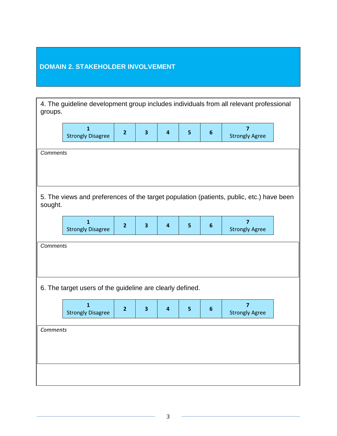# **DOMAIN 2. STAKEHOLDER INVOLVEMENT**

|                 | 4. The guideline development group includes individuals from all relevant professional<br>groups.                                                                                                          |                |                         |                         |                |                |                                         |  |  |
|-----------------|------------------------------------------------------------------------------------------------------------------------------------------------------------------------------------------------------------|----------------|-------------------------|-------------------------|----------------|----------------|-----------------------------------------|--|--|
|                 | $\mathbf{1}$<br><b>Strongly Disagree</b>                                                                                                                                                                   | $\overline{2}$ | $\overline{\mathbf{3}}$ | $\overline{\mathbf{4}}$ | 5 <sub>5</sub> | $6\phantom{1}$ | $\overline{7}$<br><b>Strongly Agree</b> |  |  |
|                 | <b>Comments</b>                                                                                                                                                                                            |                |                         |                         |                |                |                                         |  |  |
|                 | 5. The views and preferences of the target population (patients, public, etc.) have been<br>sought.                                                                                                        |                |                         |                         |                |                |                                         |  |  |
|                 | $\overline{\mathbf{1}}$<br>$\overline{7}$<br>$\overline{\mathbf{3}}$<br>$\overline{\mathbf{4}}$<br>5 <sup>1</sup><br>$\overline{2}$<br>$6\phantom{1}$<br><b>Strongly Disagree</b><br><b>Strongly Agree</b> |                |                         |                         |                |                |                                         |  |  |
|                 | <b>Comments</b>                                                                                                                                                                                            |                |                         |                         |                |                |                                         |  |  |
|                 | 6. The target users of the guideline are clearly defined.                                                                                                                                                  |                |                         |                         |                |                |                                         |  |  |
|                 | $\overline{1}$<br>$\overline{7}$<br>$\overline{\mathbf{4}}$<br>5 <sup>1</sup><br>$\overline{2}$<br>$\overline{\mathbf{3}}$<br>$6\phantom{1}$<br><b>Strongly Disagree</b><br><b>Strongly Agree</b>          |                |                         |                         |                |                |                                         |  |  |
| <b>Comments</b> |                                                                                                                                                                                                            |                |                         |                         |                |                |                                         |  |  |
|                 |                                                                                                                                                                                                            |                |                         |                         |                |                |                                         |  |  |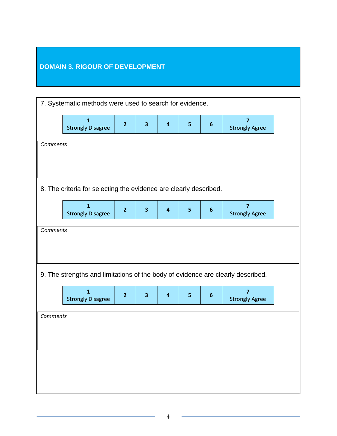# **DOMAIN 3. RIGOUR OF DEVELOPMENT**

|          |                                                                   | 7. Systematic methods were used to search for evidence. |                         |                         |                         |                  |                                                                                 |  |  |
|----------|-------------------------------------------------------------------|---------------------------------------------------------|-------------------------|-------------------------|-------------------------|------------------|---------------------------------------------------------------------------------|--|--|
|          | $\mathbf{1}$<br><b>Strongly Disagree</b>                          | $\overline{2}$                                          | $\overline{\mathbf{3}}$ | $\overline{\mathbf{4}}$ | $5\phantom{a}$          | $\boldsymbol{6}$ | $\overline{\mathbf{z}}$<br><b>Strongly Agree</b>                                |  |  |
| Comments |                                                                   |                                                         |                         |                         |                         |                  |                                                                                 |  |  |
|          |                                                                   |                                                         |                         |                         |                         |                  |                                                                                 |  |  |
|          |                                                                   |                                                         |                         |                         |                         |                  |                                                                                 |  |  |
|          | 8. The criteria for selecting the evidence are clearly described. |                                                         |                         |                         |                         |                  |                                                                                 |  |  |
|          | $\mathbf{1}$<br><b>Strongly Disagree</b>                          | $\overline{2}$                                          | $\overline{\mathbf{3}}$ | $\overline{\mathbf{4}}$ | $\overline{\mathbf{5}}$ | $\boldsymbol{6}$ | $\overline{\mathbf{z}}$<br><b>Strongly Agree</b>                                |  |  |
| Comments |                                                                   |                                                         |                         |                         |                         |                  |                                                                                 |  |  |
|          |                                                                   |                                                         |                         |                         |                         |                  |                                                                                 |  |  |
|          |                                                                   |                                                         |                         |                         |                         |                  |                                                                                 |  |  |
|          |                                                                   |                                                         |                         |                         |                         |                  |                                                                                 |  |  |
|          |                                                                   |                                                         |                         |                         |                         |                  |                                                                                 |  |  |
|          |                                                                   |                                                         |                         |                         |                         |                  | 9. The strengths and limitations of the body of evidence are clearly described. |  |  |
|          | $\mathbf{1}$<br><b>Strongly Disagree</b>                          | $\overline{2}$                                          | $\overline{\mathbf{3}}$ | $\overline{\mathbf{4}}$ | $5\phantom{a}$          | $\boldsymbol{6}$ | $\overline{7}$<br><b>Strongly Agree</b>                                         |  |  |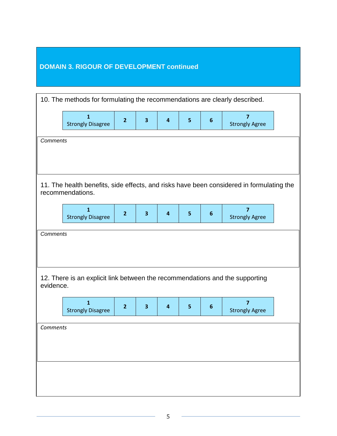# **DOMAIN 3. RIGOUR OF DEVELOPMENT continued**

|                 | 10. The methods for formulating the recommendations are clearly described.   |                |                         |                         |   |                  |                                                                                          |  |  |
|-----------------|------------------------------------------------------------------------------|----------------|-------------------------|-------------------------|---|------------------|------------------------------------------------------------------------------------------|--|--|
|                 | $\mathbf{1}$<br><b>Strongly Disagree</b>                                     | $\overline{2}$ | $\overline{\mathbf{3}}$ | $\overline{\mathbf{4}}$ | 5 | 6                | 7<br><b>Strongly Agree</b>                                                               |  |  |
| <b>Comments</b> |                                                                              |                |                         |                         |   |                  |                                                                                          |  |  |
|                 |                                                                              |                |                         |                         |   |                  |                                                                                          |  |  |
|                 |                                                                              |                |                         |                         |   |                  |                                                                                          |  |  |
|                 | recommendations.                                                             |                |                         |                         |   |                  | 11. The health benefits, side effects, and risks have been considered in formulating the |  |  |
|                 | 1<br><b>Strongly Disagree</b>                                                | $\overline{2}$ | $\overline{\mathbf{3}}$ | $\overline{\mathbf{4}}$ | 5 | 6                | 7<br><b>Strongly Agree</b>                                                               |  |  |
|                 | <b>Comments</b>                                                              |                |                         |                         |   |                  |                                                                                          |  |  |
|                 |                                                                              |                |                         |                         |   |                  |                                                                                          |  |  |
|                 |                                                                              |                |                         |                         |   |                  |                                                                                          |  |  |
| evidence.       | 12. There is an explicit link between the recommendations and the supporting |                |                         |                         |   |                  |                                                                                          |  |  |
|                 | $\mathbf{1}$<br><b>Strongly Disagree</b>                                     | $\overline{2}$ | $\overline{\mathbf{3}}$ | $\overline{\mathbf{4}}$ | 5 | $\boldsymbol{6}$ | $\overline{7}$<br><b>Strongly Agree</b>                                                  |  |  |
| <b>Comments</b> |                                                                              |                |                         |                         |   |                  |                                                                                          |  |  |
|                 |                                                                              |                |                         |                         |   |                  |                                                                                          |  |  |
|                 |                                                                              |                |                         |                         |   |                  |                                                                                          |  |  |
|                 |                                                                              |                |                         |                         |   |                  |                                                                                          |  |  |
|                 |                                                                              |                |                         |                         |   |                  |                                                                                          |  |  |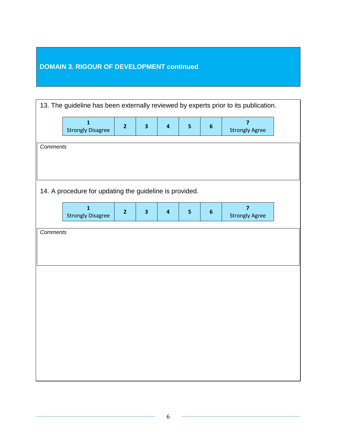# **DOMAIN 3. RIGOUR OF DEVELOPMENT continued**

| 13. The guideline has been externally reviewed by experts prior to its publication. |                                                                                                                                                                                                              |                |                         |                         |                         |                  |                                         |  |
|-------------------------------------------------------------------------------------|--------------------------------------------------------------------------------------------------------------------------------------------------------------------------------------------------------------|----------------|-------------------------|-------------------------|-------------------------|------------------|-----------------------------------------|--|
|                                                                                     | $\overline{\mathbf{1}}$<br><b>Strongly Disagree</b>                                                                                                                                                          | $\overline{2}$ | $\overline{\mathbf{3}}$ | $\overline{\mathbf{4}}$ | $\overline{\mathbf{5}}$ | $\boldsymbol{6}$ | $\overline{7}$<br><b>Strongly Agree</b> |  |
| Comments                                                                            |                                                                                                                                                                                                              |                |                         |                         |                         |                  |                                         |  |
|                                                                                     |                                                                                                                                                                                                              |                |                         |                         |                         |                  |                                         |  |
|                                                                                     |                                                                                                                                                                                                              |                |                         |                         |                         |                  |                                         |  |
|                                                                                     | 14. A procedure for updating the guideline is provided.                                                                                                                                                      |                |                         |                         |                         |                  |                                         |  |
|                                                                                     | $\overline{1}$<br>$\overline{7}$<br>$\overline{2}$<br>$\overline{\mathbf{3}}$<br>$\overline{\mathbf{4}}$<br>$\overline{\mathbf{5}}$<br>$\boldsymbol{6}$<br><b>Strongly Disagree</b><br><b>Strongly Agree</b> |                |                         |                         |                         |                  |                                         |  |
| <b>Comments</b>                                                                     |                                                                                                                                                                                                              |                |                         |                         |                         |                  |                                         |  |
|                                                                                     |                                                                                                                                                                                                              |                |                         |                         |                         |                  |                                         |  |
|                                                                                     |                                                                                                                                                                                                              |                |                         |                         |                         |                  |                                         |  |
|                                                                                     |                                                                                                                                                                                                              |                |                         |                         |                         |                  |                                         |  |
|                                                                                     |                                                                                                                                                                                                              |                |                         |                         |                         |                  |                                         |  |
|                                                                                     |                                                                                                                                                                                                              |                |                         |                         |                         |                  |                                         |  |
|                                                                                     |                                                                                                                                                                                                              |                |                         |                         |                         |                  |                                         |  |
|                                                                                     |                                                                                                                                                                                                              |                |                         |                         |                         |                  |                                         |  |
|                                                                                     |                                                                                                                                                                                                              |                |                         |                         |                         |                  |                                         |  |
|                                                                                     |                                                                                                                                                                                                              |                |                         |                         |                         |                  |                                         |  |
|                                                                                     |                                                                                                                                                                                                              |                |                         |                         |                         |                  |                                         |  |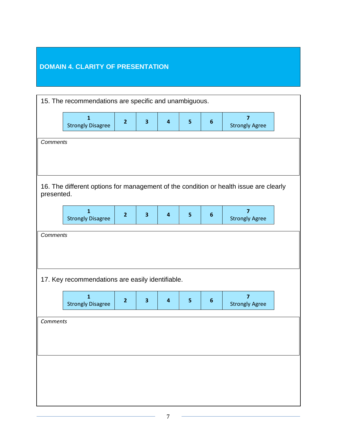# **DOMAIN 4. CLARITY OF PRESENTATION**

|          | 15. The recommendations are specific and unambiguous.                                               |                |                         |                         |                         |                  |                                                  |  |
|----------|-----------------------------------------------------------------------------------------------------|----------------|-------------------------|-------------------------|-------------------------|------------------|--------------------------------------------------|--|
|          | 1<br><b>Strongly Disagree</b>                                                                       | $\overline{2}$ | 3                       | $\overline{\mathbf{4}}$ | $\overline{5}$          | $\boldsymbol{6}$ | 7<br><b>Strongly Agree</b>                       |  |
|          | <b>Comments</b>                                                                                     |                |                         |                         |                         |                  |                                                  |  |
|          |                                                                                                     |                |                         |                         |                         |                  |                                                  |  |
|          | 16. The different options for management of the condition or health issue are clearly<br>presented. |                |                         |                         |                         |                  |                                                  |  |
|          | $\mathbf{1}$<br><b>Strongly Disagree</b>                                                            | $\overline{2}$ | $\overline{\mathbf{3}}$ | $\overline{\mathbf{4}}$ | $\overline{\mathbf{5}}$ | $\boldsymbol{6}$ | $\overline{\mathbf{z}}$<br><b>Strongly Agree</b> |  |
|          | Comments                                                                                            |                |                         |                         |                         |                  |                                                  |  |
|          |                                                                                                     |                |                         |                         |                         |                  |                                                  |  |
|          | 17. Key recommendations are easily identifiable.                                                    |                |                         |                         |                         |                  |                                                  |  |
|          | 1<br><b>Strongly Disagree</b>                                                                       | $\overline{2}$ | $\overline{\mathbf{3}}$ | $\overline{\mathbf{4}}$ | 5                       | $\boldsymbol{6}$ | 7<br><b>Strongly Agree</b>                       |  |
| Comments |                                                                                                     |                |                         |                         |                         |                  |                                                  |  |
|          |                                                                                                     |                |                         |                         |                         |                  |                                                  |  |
|          |                                                                                                     |                |                         |                         |                         |                  |                                                  |  |
|          |                                                                                                     |                |                         |                         |                         |                  |                                                  |  |
|          |                                                                                                     |                |                         |                         |                         |                  |                                                  |  |
|          |                                                                                                     |                |                         |                         |                         |                  |                                                  |  |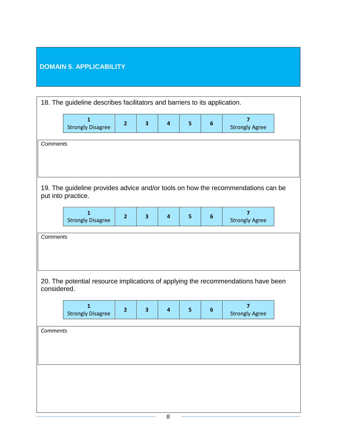# **DOMAIN 5. APPLICABILITY**

|             | 18. The guideline describes facilitators and barriers to its application. |                |                         |                         |                |                |                                                                                   |  |  |
|-------------|---------------------------------------------------------------------------|----------------|-------------------------|-------------------------|----------------|----------------|-----------------------------------------------------------------------------------|--|--|
|             | 1<br><b>Strongly Disagree</b>                                             | $\overline{2}$ | $\overline{\mathbf{3}}$ | $\overline{4}$          | 5              | 6              | 7<br><b>Strongly Agree</b>                                                        |  |  |
|             | Comments                                                                  |                |                         |                         |                |                |                                                                                   |  |  |
|             |                                                                           |                |                         |                         |                |                |                                                                                   |  |  |
|             | put into practice.                                                        |                |                         |                         |                |                | 19. The guideline provides advice and/or tools on how the recommendations can be  |  |  |
|             | $\mathbf{1}$<br><b>Strongly Disagree</b>                                  | $\overline{2}$ | $\overline{\mathbf{3}}$ | $\overline{\mathbf{4}}$ | $\overline{5}$ | $6\phantom{1}$ | $\overline{7}$<br><b>Strongly Agree</b>                                           |  |  |
|             | <b>Comments</b>                                                           |                |                         |                         |                |                |                                                                                   |  |  |
|             |                                                                           |                |                         |                         |                |                |                                                                                   |  |  |
| considered. |                                                                           |                |                         |                         |                |                | 20. The potential resource implications of applying the recommendations have been |  |  |
|             | $\mathbf{1}$<br><b>Strongly Disagree</b>                                  | $\overline{2}$ | $\overline{\mathbf{3}}$ | $\overline{\mathbf{4}}$ | 5              | $6\phantom{1}$ | $\overline{7}$<br><b>Strongly Agree</b>                                           |  |  |
| Comments    |                                                                           |                |                         |                         |                |                |                                                                                   |  |  |
|             |                                                                           |                |                         |                         |                |                |                                                                                   |  |  |
|             |                                                                           |                |                         |                         |                |                |                                                                                   |  |  |
|             |                                                                           |                |                         |                         |                |                |                                                                                   |  |  |
|             |                                                                           |                |                         |                         |                |                |                                                                                   |  |  |
|             |                                                                           |                |                         |                         |                |                |                                                                                   |  |  |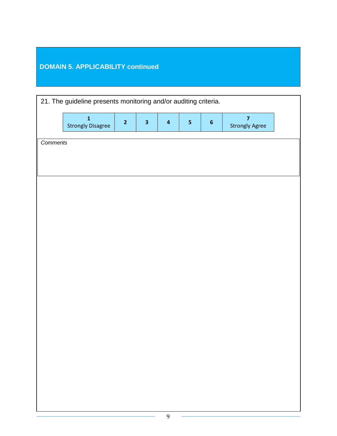# **DOMAIN 5. APPLICABILITY continued**

| 21. The guideline presents monitoring and/or auditing criteria. |                                          |                |                         |                         |                         |                  |                                                  |  |
|-----------------------------------------------------------------|------------------------------------------|----------------|-------------------------|-------------------------|-------------------------|------------------|--------------------------------------------------|--|
|                                                                 | $\mathbf{1}$<br><b>Strongly Disagree</b> | $\overline{2}$ | $\overline{\mathbf{3}}$ | $\overline{\mathbf{4}}$ | $\overline{\mathbf{5}}$ | $\boldsymbol{6}$ | $\overline{\mathbf{z}}$<br><b>Strongly Agree</b> |  |
| Comments                                                        |                                          |                |                         |                         |                         |                  |                                                  |  |
|                                                                 |                                          |                |                         |                         |                         |                  |                                                  |  |
|                                                                 |                                          |                |                         |                         |                         |                  |                                                  |  |
|                                                                 |                                          |                |                         |                         |                         |                  |                                                  |  |
|                                                                 |                                          |                |                         |                         |                         |                  |                                                  |  |
|                                                                 |                                          |                |                         |                         |                         |                  |                                                  |  |
|                                                                 |                                          |                |                         |                         |                         |                  |                                                  |  |
|                                                                 |                                          |                |                         |                         |                         |                  |                                                  |  |
|                                                                 |                                          |                |                         |                         |                         |                  |                                                  |  |
|                                                                 |                                          |                |                         |                         |                         |                  |                                                  |  |
|                                                                 |                                          |                |                         |                         |                         |                  |                                                  |  |
|                                                                 |                                          |                |                         |                         |                         |                  |                                                  |  |
|                                                                 |                                          |                |                         |                         |                         |                  |                                                  |  |
|                                                                 |                                          |                |                         |                         |                         |                  |                                                  |  |
|                                                                 |                                          |                |                         |                         |                         |                  |                                                  |  |
|                                                                 |                                          |                |                         |                         |                         |                  |                                                  |  |
|                                                                 |                                          |                |                         |                         |                         |                  |                                                  |  |
|                                                                 |                                          |                |                         |                         |                         |                  |                                                  |  |
|                                                                 |                                          |                |                         |                         |                         |                  |                                                  |  |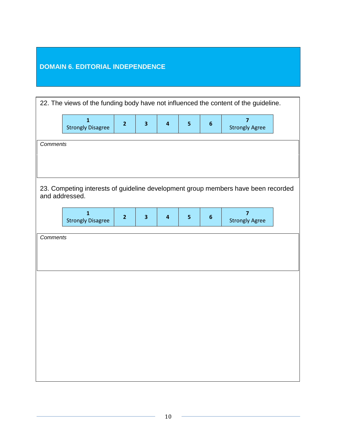# **DOMAIN 6. EDITORIAL INDEPENDENCE**

| 22. The views of the funding body have not influenced the content of the guideline. |                                            |                |                         |                         |                |                |                                                                                   |
|-------------------------------------------------------------------------------------|--------------------------------------------|----------------|-------------------------|-------------------------|----------------|----------------|-----------------------------------------------------------------------------------|
|                                                                                     | $\mathbf{1}$<br><b>Strongly Disagree</b>   | $\overline{2}$ | $\overline{\mathbf{3}}$ | $\overline{\mathbf{4}}$ | 5 <sub>1</sub> | $6\phantom{1}$ | $\overline{7}$<br><b>Strongly Agree</b>                                           |
|                                                                                     | <b>Comments</b>                            |                |                         |                         |                |                |                                                                                   |
|                                                                                     |                                            |                |                         |                         |                |                |                                                                                   |
|                                                                                     |                                            |                |                         |                         |                |                |                                                                                   |
|                                                                                     | and addressed.                             |                |                         |                         |                |                | 23. Competing interests of guideline development group members have been recorded |
|                                                                                     | $\overline{1}$<br><b>Strongly Disagree</b> | $\overline{2}$ | 3                       | $\overline{\mathbf{4}}$ | $5\phantom{a}$ | $6\phantom{1}$ | $\overline{7}$<br><b>Strongly Agree</b>                                           |
| <b>Comments</b>                                                                     |                                            |                |                         |                         |                |                |                                                                                   |
|                                                                                     |                                            |                |                         |                         |                |                |                                                                                   |
|                                                                                     |                                            |                |                         |                         |                |                |                                                                                   |
|                                                                                     |                                            |                |                         |                         |                |                |                                                                                   |
|                                                                                     |                                            |                |                         |                         |                |                |                                                                                   |
|                                                                                     |                                            |                |                         |                         |                |                |                                                                                   |
|                                                                                     |                                            |                |                         |                         |                |                |                                                                                   |
|                                                                                     |                                            |                |                         |                         |                |                |                                                                                   |
|                                                                                     |                                            |                |                         |                         |                |                |                                                                                   |
|                                                                                     |                                            |                |                         |                         |                |                |                                                                                   |